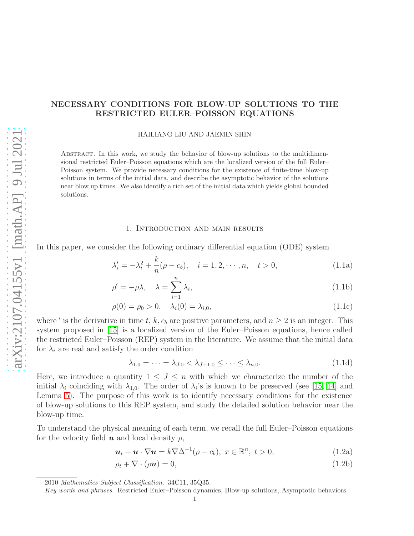# NECESSARY CONDITIONS FOR BLOW-UP SOLUTIONS TO THE RESTRICTED EULER–POISSON EQUATIONS

HAILIANG LIU AND JAEMIN SHIN

Abstract. In this work, we study the behavior of blow-up solutions to the multidimensional restricted Euler–Poisson equations which are the localized version of the full Euler– Poisson system. We provide necessary conditions for the existence of finite-time blow-up solutions in terms of the initial data, and describe the asymptotic behavior of the solutions near blow up times. We also identify a rich set of the initial data which yields global bounded solutions.

## <span id="page-0-4"></span><span id="page-0-2"></span><span id="page-0-1"></span>1. Introduction and main results

In this paper, we consider the following ordinary differential equation (ODE) system

$$
\lambda'_i = -\lambda_i^2 + \frac{k}{n}(\rho - c_b), \quad i = 1, 2, \cdots, n, \quad t > 0,
$$
\n(1.1a)

$$
\rho' = -\rho \lambda, \quad \lambda = \sum_{i=1}^{n} \lambda_i,
$$
\n(1.1b)

$$
\rho(0) = \rho_0 > 0, \quad \lambda_i(0) = \lambda_{i,0}, \tag{1.1c}
$$

where ' is the derivative in time t, k,  $c_b$  are positive parameters, and  $n \geq 2$  is an integer. This system proposed in [\[15\]](#page-30-0) is a localized version of the Euler–Poisson equations, hence called the restricted Euler–Poisson (REP) system in the literature. We assume that the initial data for  $\lambda_i$  are real and satisfy the order condition

<span id="page-0-3"></span>
$$
\lambda_{1,0} = \dots = \lambda_{J,0} < \lambda_{J+1,0} \leq \dots \leq \lambda_{n,0}.\tag{1.1d}
$$

Here, we introduce a quantity  $1 \leq J \leq n$  with which we characterize the number of the initial  $\lambda_i$  coinciding with  $\lambda_{1,0}$ . The order of  $\lambda_i$ 's is known to be preserved (see [\[15,](#page-30-0) [14\]](#page-30-1) and Lemma [5\)](#page-6-0). The purpose of this work is to identify necessary conditions for the existence of blow-up solutions to this REP system, and study the detailed solution behavior near the blow-up time.

To understand the physical meaning of each term, we recall the full Euler–Poisson equations for the velocity field  $u$  and local density  $\rho$ ,

<span id="page-0-0"></span>
$$
\mathbf{u}_t + \mathbf{u} \cdot \nabla \mathbf{u} = k \nabla \Delta^{-1} (\rho - c_b), \ x \in \mathbb{R}^n, \ t > 0,
$$
\n(1.2a)

$$
\rho_t + \nabla \cdot (\rho \mathbf{u}) = 0,\tag{1.2b}
$$

<sup>2010</sup> Mathematics Subject Classification. 34C11, 35Q35.

Key words and phrases. Restricted Euler–Poisson dynamics, Blow-up solutions, Asymptotic behaviors.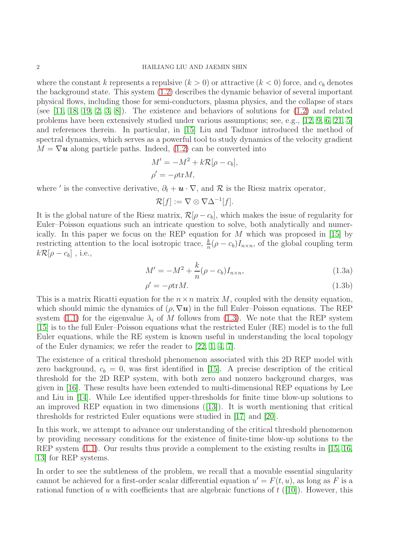where the constant k represents a repulsive  $(k > 0)$  or attractive  $(k < 0)$  force, and  $c<sub>b</sub>$  denotes the background state. This system [\(1.2\)](#page-0-0) describes the dynamic behavior of several important physical flows, including those for semi-conductors, plasma physics, and the collapse of stars (see  $[11, 18, 19, 2, 3, 8]$  $[11, 18, 19, 2, 3, 8]$  $[11, 18, 19, 2, 3, 8]$  $[11, 18, 19, 2, 3, 8]$  $[11, 18, 19, 2, 3, 8]$  $[11, 18, 19, 2, 3, 8]$ ). The existence and behaviors of solutions for  $(1.2)$  and related problems have been extensively studied under various assumptions; see, e.g., [\[12,](#page-30-6) [9,](#page-30-7) [6,](#page-30-8) [21,](#page-31-2) [5\]](#page-30-9) and references therein. In particular, in [\[15\]](#page-30-0) Liu and Tadmor introduced the method of spectral dynamics, which serves as a powerful tool to study dynamics of the velocity gradient  $M = \nabla u$  along particle paths. Indeed, [\(1.2\)](#page-0-0) can be converted into

$$
M' = -M^2 + k\mathcal{R}[\rho - c_b],
$$
  

$$
\rho' = -\rho \text{tr} M,
$$

where ' is the convective derivative,  $\partial_t + \mathbf{u} \cdot \nabla$ , and  $\mathcal{R}$  is the Riesz matrix operator,

$$
\mathcal{R}[f] := \nabla \otimes \nabla \Delta^{-1}[f].
$$

It is the global nature of the Riesz matrix,  $\mathcal{R}[\rho - c_b]$ , which makes the issue of regularity for Euler–Poisson equations such an intricate question to solve, both analytically and numerically. In this paper we focus on the REP equation for M which was proposed in [\[15\]](#page-30-0) by restricting attention to the local isotropic trace,  $\frac{k}{n}(\rho - c_b)I_{n \times n}$ , of the global coupling term  $k\mathcal{R}[\rho - c_b]$ , i.e.,

<span id="page-1-0"></span>
$$
M' = -M^2 + \frac{k}{n}(\rho - c_b)I_{n \times n},
$$
\n(1.3a)

$$
\rho' = -\rho \text{tr} M. \tag{1.3b}
$$

This is a matrix Ricatti equation for the  $n \times n$  matrix M, coupled with the density equation, which should mimic the dynamics of  $(\rho, \nabla u)$  in the full Euler–Poisson equations. The REP system [\(1.1\)](#page-0-1) for the eigenvalue  $\lambda_i$  of M follows from [\(1.3\)](#page-1-0). We note that the REP system [\[15\]](#page-30-0) is to the full Euler–Poisson equations what the restricted Euler (RE) model is to the full Euler equations, while the RE system is known useful in understanding the local topology of the Euler dynamics; we refer the reader to [\[22,](#page-31-3) [1,](#page-30-10) [4,](#page-30-11) [7\]](#page-30-12).

The existence of a critical threshold phenomenon associated with this 2D REP model with zero background,  $c_b = 0$ , was first identified in [\[15\]](#page-30-0). A precise description of the critical threshold for the 2D REP system, with both zero and nonzero background charges, was given in [\[16\]](#page-30-13). These results have been extended to multi-dimensional REP equations by Lee and Liu in [\[14\]](#page-30-1). While Lee identified upper-thresholds for finite time blow-up solutions to an improved REP equation in two dimensions ([\[13\]](#page-30-14)). It is worth mentioning that critical thresholds for restricted Euler equations were studied in [\[17\]](#page-31-4) and [\[20\]](#page-31-5).

In this work, we attempt to advance our understanding of the critical threshold phenomenon by providing necessary conditions for the existence of finite-time blow-up solutions to the REP system  $(1.1)$ . Our results thus provide a complement to the existing results in [\[15,](#page-30-0) [16,](#page-30-13) [13\]](#page-30-14) for REP systems.

In order to see the subtleness of the problem, we recall that a movable essential singularity cannot be achieved for a first-order scalar differential equation  $u' = F(t, u)$ , as long as F is a rational function of u with coefficients that are algebraic functions of  $t$  ([\[10\]](#page-30-15)). However, this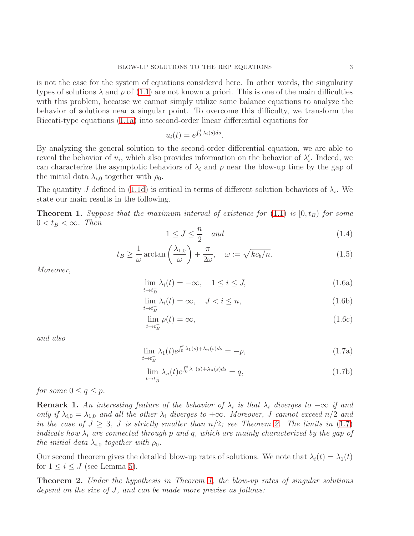is not the case for the system of equations considered here. In other words, the singularity types of solutions  $\lambda$  and  $\rho$  of [\(1.1\)](#page-0-1) are not known a priori. This is one of the main difficulties with this problem, because we cannot simply utilize some balance equations to analyze the behavior of solutions near a singular point. To overcome this difficulty, we transform the Riccati-type equations [\(1.1a\)](#page-0-2) into second-order linear differential equations for

$$
u_i(t) = e^{\int_0^t \lambda_i(s)ds}.
$$

By analyzing the general solution to the second-order differential equation, we are able to reveal the behavior of  $u_i$ , which also provides information on the behavior of  $\lambda'_i$ . Indeed, we can characterize the asymptotic behaviors of  $\lambda_i$  and  $\rho$  near the blow-up time by the gap of the initial data  $\lambda_{i,0}$  together with  $\rho_0$ .

The quantity J defined in [\(1.1d\)](#page-0-3) is critical in terms of different solution behaviors of  $\lambda_i$ . We state our main results in the following.

<span id="page-2-2"></span>**Theorem 1.** Suppose that the maximum interval of existence for  $(1.1)$  is  $[0, t_B)$  for some  $0 < t_B < \infty$ . Then

<span id="page-2-4"></span>
$$
1 \le J \le \frac{n}{2} \quad and \tag{1.4}
$$

<span id="page-2-3"></span>
$$
t_B \ge \frac{1}{\omega} \arctan\left(\frac{\lambda_{1,0}}{\omega}\right) + \frac{\pi}{2\omega}, \quad \omega := \sqrt{kc_b/n}.\tag{1.5}
$$

<span id="page-2-5"></span>Moreover,

$$
\lim_{t \to t_B^-} \lambda_i(t) = -\infty, \quad 1 \le i \le J,
$$
\n(1.6a)

$$
\lim_{t \to t_B^-} \lambda_i(t) = \infty, \quad J < i \le n,\tag{1.6b}
$$

$$
\lim_{t \to t_B^-} \rho(t) = \infty, \tag{1.6c}
$$

<span id="page-2-1"></span>and also

$$
\lim_{t \to t_B^-} \lambda_1(t) e^{\int_0^t \lambda_1(s) + \lambda_n(s) ds} = -p,\tag{1.7a}
$$

$$
\lim_{t \to t_B^-} \lambda_n(t) e^{\int_0^t \lambda_1(s) + \lambda_n(s) ds} = q,
$$
\n(1.7b)

for some  $0 \le q \le p$ .

**Remark 1.** An interesting feature of the behavior of  $\lambda_i$  is that  $\lambda_i$  diverges to  $-\infty$  if and only if  $\lambda_{i,0} = \lambda_{1,0}$  and all the other  $\lambda_i$  diverges to  $+\infty$ . Moreover, J cannot exceed  $n/2$  and in the case of  $J \geq 3$ , J is strictly smaller than  $n/2$ ; see Theorem [2.](#page-2-0) The limits in [\(1.7\)](#page-2-1) indicate how  $\lambda_i$  are connected through p and q, which are mainly characterized by the gap of the initial data  $\lambda_{i,0}$  together with  $\rho_0$ .

Our second theorem gives the detailed blow-up rates of solutions. We note that  $\lambda_i(t) = \lambda_1(t)$ for  $1 \leq i \leq J$  (see Lemma [5\)](#page-6-0).

<span id="page-2-0"></span>Theorem 2. Under the hypothesis in Theorem [1,](#page-2-2) the blow-up rates of singular solutions depend on the size of J, and can be made more precise as follows: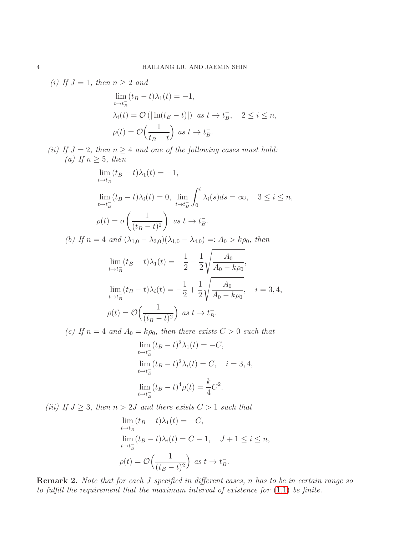(i) If 
$$
J = 1
$$
, then  $n \ge 2$  and  
\n
$$
\lim_{t \to t_B^-} (t_B - t) \lambda_1(t) = -1,
$$
\n
$$
\lambda_i(t) = \mathcal{O}(|\ln(t_B - t)|) \text{ as } t \to t_B^-, \quad 2 \le i \le n,
$$
\n
$$
\rho(t) = \mathcal{O}\Big(\frac{1}{t_B - t}\Big) \text{ as } t \to t_B^-.
$$

(ii) If  $J = 2$ , then  $n \geq 4$  and one of the following cases must hold: (a) If  $n \geq 5$ , then

$$
\lim_{t \to t_B^-} (t_B - t)\lambda_1(t) = -1,
$$
\n
$$
\lim_{t \to t_B^-} (t_B - t)\lambda_i(t) = 0, \quad \lim_{t \to t_B^-} \int_0^t \lambda_i(s)ds = \infty, \quad 3 \le i \le n,
$$
\n
$$
\rho(t) = o\left(\frac{1}{(t_B - t)^2}\right) \quad \text{as } t \to t_B^-.
$$

(b) If  $n = 4$  and  $(\lambda_{1,0} - \lambda_{3,0})(\lambda_{1,0} - \lambda_{4,0}) =: A_0 > k \rho_0$ , then

$$
\lim_{t \to t_B^-} (t_B - t)\lambda_1(t) = -\frac{1}{2} - \frac{1}{2} \sqrt{\frac{A_0}{A_0 - k\rho_0}},
$$
  
\n
$$
\lim_{t \to t_B^-} (t_B - t)\lambda_i(t) = -\frac{1}{2} + \frac{1}{2} \sqrt{\frac{A_0}{A_0 - k\rho_0}}, \quad i = 3, 4,
$$
  
\n
$$
\rho(t) = \mathcal{O}\left(\frac{1}{(t_B - t)^2}\right) \text{ as } t \to t_B^-.
$$

(c) If  $n = 4$  and  $A_0 = k\rho_0$ , then there exists  $C > 0$  such that

$$
\lim_{t \to t_B^-} (t_B - t)^2 \lambda_1(t) = -C,
$$
  
\n
$$
\lim_{t \to t_B^-} (t_B - t)^2 \lambda_i(t) = C, \quad i = 3, 4,
$$
  
\n
$$
\lim_{t \to t_B^-} (t_B - t)^4 \rho(t) = \frac{k}{4} C^2.
$$

(iii) If  $J \geq 3$ , then  $n > 2J$  and there exists  $C > 1$  such that

$$
\lim_{t \to t_B^-} (t_B - t)\lambda_1(t) = -C,
$$
  
\n
$$
\lim_{t \to t_B^-} (t_B - t)\lambda_i(t) = C - 1, \quad J + 1 \le i \le n,
$$
  
\n
$$
\rho(t) = \mathcal{O}\left(\frac{1}{(t_B - t)^2}\right) \text{ as } t \to t_B^-.
$$

Remark 2. Note that for each J specified in different cases, n has to be in certain range so to fulfill the requirement that the maximum interval of existence for [\(1.1\)](#page-0-1) be finite.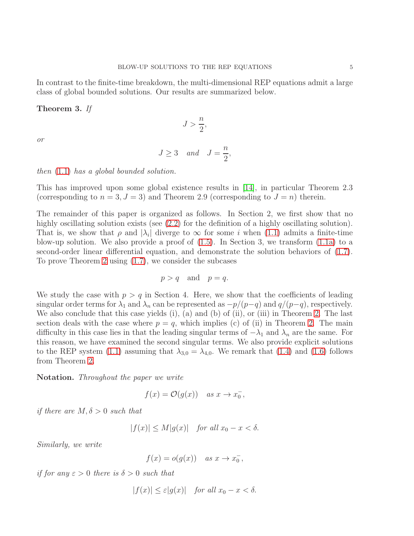In contrast to the finite-time breakdown, the multi-dimensional REP equations admit a large class of global bounded solutions. Our results are summarized below.

# Theorem 3. If

or

$$
J \ge 3 \quad and \quad J = \frac{n}{2},
$$

 $J > \frac{n}{2}$ 2 ,

then [\(1.1\)](#page-0-1) has a global bounded solution.

This has improved upon some global existence results in [\[14\]](#page-30-1), in particular Theorem 2.3 (corresponding to  $n = 3, J = 3$ ) and Theorem 2.9 (corresponding to  $J = n$ ) therein.

The remainder of this paper is organized as follows. In Section 2, we first show that no highly oscillating solution exists (see [\(2.2\)](#page-5-0) for the definition of a highly oscillating solution). That is, we show that  $\rho$  and  $|\lambda_i|$  diverge to  $\infty$  for some i when [\(1.1\)](#page-0-1) admits a finite-time blow-up solution. We also provide a proof of  $(1.5)$ . In Section 3, we transform  $(1.1a)$  to a second-order linear differential equation, and demonstrate the solution behaviors of [\(1.7\)](#page-2-1). To prove Theorem [2](#page-2-0) using [\(1.7\)](#page-2-1), we consider the subcases

$$
p > q \quad \text{and} \quad p = q.
$$

We study the case with  $p > q$  in Section 4. Here, we show that the coefficients of leading singular order terms for  $\lambda_1$  and  $\lambda_n$  can be represented as  $-p/(p-q)$  and  $q/(p-q)$ , respectively. We also conclude that this case yields (i), (a) and (b) of (ii), or (iii) in Theorem [2.](#page-2-0) The last section deals with the case where  $p = q$ , which implies (c) of (ii) in Theorem [2.](#page-2-0) The main difficulty in this case lies in that the leading singular terms of  $-\lambda_1$  and  $\lambda_n$  are the same. For this reason, we have examined the second singular terms. We also provide explicit solutions to the REP system [\(1.1\)](#page-0-1) assuming that  $\lambda_{3,0} = \lambda_{4,0}$ . We remark that [\(1.4\)](#page-2-4) and [\(1.6\)](#page-2-5) follows from Theorem [2.](#page-2-0)

Notation. Throughout the paper we write

$$
f(x) = \mathcal{O}(g(x)) \quad as \ x \to x_0^-,
$$

if there are  $M, \delta > 0$  such that

$$
|f(x)| \le M|g(x)| \quad \text{for all } x_0 - x < \delta.
$$

Similarly, we write

$$
f(x) = o(g(x)) \quad as \; x \to x_0^-,
$$

if for any  $\varepsilon > 0$  there is  $\delta > 0$  such that

$$
|f(x)| \le \varepsilon |g(x)| \quad \text{for all } x_0 - x < \delta.
$$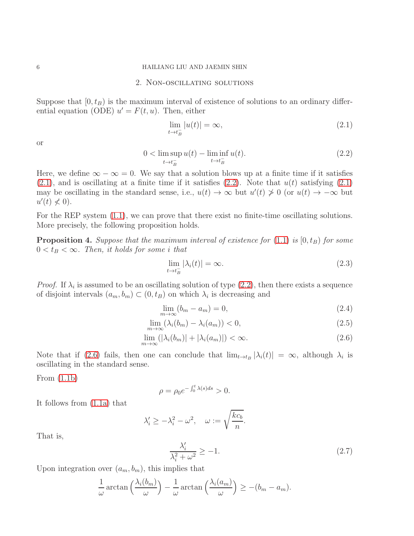### 6 HAILIANG LIU AND JAEMIN SHIN

## 2. Non-oscillating solutions

Suppose that  $[0, t_B)$  is the maximum interval of existence of solutions to an ordinary differential equation (ODE)  $u' = F(t, u)$ . Then, either

<span id="page-5-1"></span>
$$
\lim_{t \to t_B^-} |u(t)| = \infty,\tag{2.1}
$$

or

<span id="page-5-0"></span>
$$
0 < \limsup_{t \to t_B^-} u(t) - \liminf_{t \to t_B^-} u(t). \tag{2.2}
$$

Here, we define  $\infty - \infty = 0$ . We say that a solution blows up at a finite time if it satisfies  $(2.1)$ , and is oscillating at a finite time if it satisfies  $(2.2)$ . Note that  $u(t)$  satisfying  $(2.1)$ may be oscillating in the standard sense, i.e.,  $u(t) \to \infty$  but  $u'(t) \neq 0$  (or  $u(t) \to -\infty$  but  $u'(t) \nless 0$ ).

For the REP system  $(1.1)$ , we can prove that there exist no finite-time oscillating solutions. More precisely, the following proposition holds.

<span id="page-5-3"></span>**Proposition 4.** Suppose that the maximum interval of existence for  $(1.1)$  is  $[0, t_B)$  for some  $0 < t_B < \infty$ . Then, it holds for some i that

$$
\lim_{t \to t_B^-} |\lambda_i(t)| = \infty. \tag{2.3}
$$

*Proof.* If  $\lambda_i$  is assumed to be an oscillating solution of type  $(2.2)$ , then there exists a sequence of disjoint intervals  $(a_m, b_m) \subset (0, t_B)$  on which  $\lambda_i$  is decreasing and

$$
\lim_{m \to \infty} (b_m - a_m) = 0,\tag{2.4}
$$

<span id="page-5-2"></span>
$$
\lim_{m \to \infty} (\lambda_i(b_m) - \lambda_i(a_m)) < 0,\tag{2.5}
$$

$$
\lim_{m \to \infty} (|\lambda_i(b_m)| + |\lambda_i(a_m)|) < \infty. \tag{2.6}
$$

Note that if [\(2.6\)](#page-5-2) fails, then one can conclude that  $\lim_{t\to t_B} |\lambda_i(t)| = \infty$ , although  $\lambda_i$  is oscillating in the standard sense.

From [\(1.1b\)](#page-0-4)

$$
\rho = \rho_0 e^{-\int_0^t \lambda(s)ds} > 0.
$$

It follows from [\(1.1a\)](#page-0-2) that

$$
\lambda'_i \ge -\lambda_i^2 - \omega^2, \quad \omega := \sqrt{\frac{kc_b}{n}}.
$$

That is,

<span id="page-5-4"></span>
$$
\frac{\lambda_i'}{\lambda_i^2 + \omega^2} \ge -1.
$$
\n(2.7)

Upon integration over  $(a_m, b_m)$ , this implies that

$$
\frac{1}{\omega}\arctan\left(\frac{\lambda_i(b_m)}{\omega}\right) - \frac{1}{\omega}\arctan\left(\frac{\lambda_i(a_m)}{\omega}\right) \ge -(b_m - a_m).
$$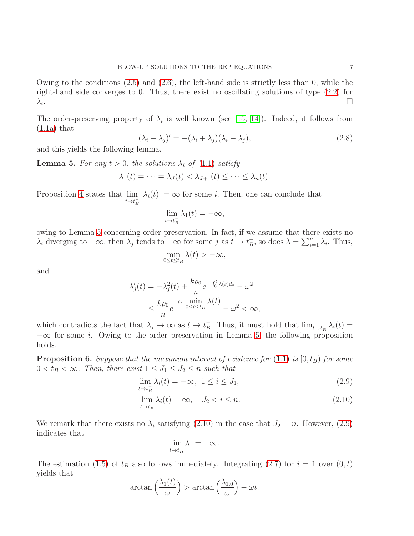Owing to the conditions  $(2.5)$  and  $(2.6)$ , the left-hand side is strictly less than 0, while the right-hand side converges to 0. Thus, there exist no oscillating solutions of type [\(2.2\)](#page-5-0) for  $\lambda_i$ . . The contract of the contract of the contract of the contract of  $\Box$ 

The order-preserving property of  $\lambda_i$  is well known (see [\[15,](#page-30-0) [14\]](#page-30-1)). Indeed, it follows from  $(1.1a)$  that

<span id="page-6-3"></span>
$$
(\lambda_i - \lambda_j)' = -(\lambda_i + \lambda_j)(\lambda_i - \lambda_j),
$$
\n(2.8)

and this yields the following lemma.

<span id="page-6-0"></span>**Lemma 5.** For any  $t > 0$ , the solutions  $\lambda_i$  of [\(1.1\)](#page-0-1) satisfy

$$
\lambda_1(t) = \cdots = \lambda_J(t) < \lambda_{J+1}(t) \leq \cdots \leq \lambda_n(t).
$$

Proposition [4](#page-5-3) states that lim  $t \rightarrow t_B^ |\lambda_i(t)| = \infty$  for some *i*. Then, one can conclude that

$$
\lim_{t \to t_B^-} \lambda_1(t) = -\infty,
$$

owing to Lemma [5](#page-6-0) concerning order preservation. In fact, if we assume that there exists no  $\lambda_i$  diverging to  $-\infty$ , then  $\lambda_j$  tends to  $+\infty$  for some j as  $t \to t_B^ \bar{B}$ , so does  $\lambda = \sum_{i=1}^{n} \lambda_i$ . Thus,

$$
\min_{0\leq t\leq t_B}\lambda(t)>-\infty,
$$

and

$$
\lambda_j'(t) = -\lambda_j^2(t) + \frac{k\rho_0}{n}e^{-\int_0^t \lambda(s)ds} - \omega^2
$$
  

$$
\leq \frac{k\rho_0}{n}e^{-t_B}\min_{0 \leq t \leq t_B} \lambda(t) - \omega^2 < \infty,
$$

which contradicts the fact that  $\lambda_j \to \infty$  as  $t \to t_B^ \bar{B}$ . Thus, it must hold that  $\lim_{t\to t_B^-} \lambda_i(t) =$  $-\infty$  for some *i*. Owing to the order preservation in Lemma [5,](#page-6-0) the following proposition holds.

<span id="page-6-2"></span>**Proposition 6.** Suppose that the maximum interval of existence for  $(1.1)$  is  $[0, t_B)$  for some  $0 < t_B < \infty$ . Then, there exist  $1 \leq J_1 \leq J_2 \leq n$  such that

<span id="page-6-1"></span>
$$
\lim_{t \to t_B^-} \lambda_i(t) = -\infty, \ 1 \le i \le J_1,\tag{2.9}
$$

$$
\lim_{t \to t_B^-} \lambda_i(t) = \infty, \quad J_2 < i \le n. \tag{2.10}
$$

We remark that there exists no  $\lambda_i$  satisfying [\(2.10\)](#page-6-1) in the case that  $J_2 = n$ . However, [\(2.9\)](#page-6-1) indicates that

$$
\lim_{t \to t_B^-} \lambda_1 = -\infty.
$$

The estimation [\(1.5\)](#page-2-3) of  $t_B$  also follows immediately. Integrating [\(2.7\)](#page-5-4) for  $i = 1$  over  $(0, t)$ yields that

$$
\arctan\left(\frac{\lambda_1(t)}{\omega}\right) > \arctan\left(\frac{\lambda_{1,0}}{\omega}\right) - \omega t.
$$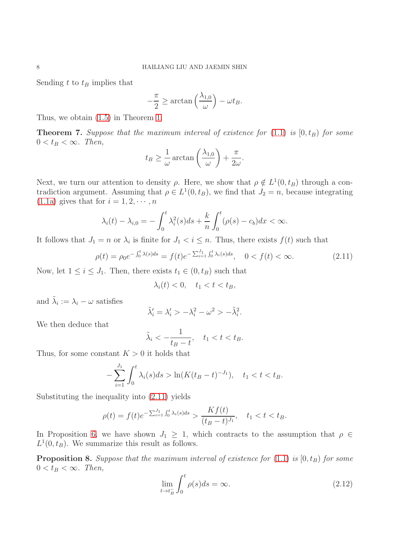Sending  $t$  to  $t_B$  implies that

$$
-\frac{\pi}{2} \ge \arctan\left(\frac{\lambda_{1,0}}{\omega}\right) - \omega t_B.
$$

Thus, we obtain [\(1.5\)](#page-2-3) in Theorem [1.](#page-2-2)

**Theorem 7.** Suppose that the maximum interval of existence for  $(1.1)$  is  $[0, t_B)$  for some  $0 < t_B < \infty$ . Then,

$$
t_B \geq \frac{1}{\omega} \arctan\left(\frac{\lambda_{1,0}}{\omega}\right) + \frac{\pi}{2\omega}.
$$

Next, we turn our attention to density  $\rho$ . Here, we show that  $\rho \notin L^1(0, t_B)$  through a contradiction argument. Assuming that  $\rho \in L^1(0, t_B)$ , we find that  $J_2 = n$ , because integrating [\(1.1a\)](#page-0-2) gives that for  $i = 1, 2, \dots, n$ 

$$
\lambda_i(t) - \lambda_{i,0} = -\int_0^t \lambda_i^2(s)ds + \frac{k}{n} \int_0^t (\rho(s) - c_b)dx < \infty.
$$

It follows that  $J_1 = n$  or  $\lambda_i$  is finite for  $J_1 < i \leq n$ . Thus, there exists  $f(t)$  such that

$$
\rho(t) = \rho_0 e^{-\int_0^t \lambda(s)ds} = f(t)e^{-\sum_{i=1}^{J_1} \int_0^t \lambda_i(s)ds}, \quad 0 < f(t) < \infty. \tag{2.11}
$$

Now, let  $1 \leq i \leq J_1$ . Then, there exists  $t_1 \in (0, t_B)$  such that

<span id="page-7-0"></span>
$$
\lambda_i(t) < 0, \quad t_1 < t < t_B,
$$

and  $\tilde{\lambda}_i := \lambda_i - \omega$  satisfies

$$
\tilde{\lambda}'_i = \lambda'_i > -\lambda_i^2 - \omega^2 > -\tilde{\lambda}_i^2.
$$

We then deduce that

$$
\tilde{\lambda}_i < -\frac{1}{t_B - t}, \quad t_1 < t < t_B.
$$

Thus, for some constant  $K > 0$  it holds that

$$
-\sum_{i=1}^{J_1} \int_0^t \lambda_i(s)ds > \ln(K(t_B - t)^{-J_1}), \quad t_1 < t < t_B.
$$

Substituting the inequality into [\(2.11\)](#page-7-0) yields

$$
\rho(t) = f(t)e^{-\sum_{i=1}^{J_1} \int_0^t \lambda_i(s)ds} > \frac{Kf(t)}{(t_B - t)^{J_1}}, \quad t_1 < t < t_B.
$$

In Proposition [6,](#page-6-2) we have shown  $J_1 \geq 1$ , which contracts to the assumption that  $\rho \in$  $L^1(0, t_B)$ . We summarize this result as follows.

<span id="page-7-1"></span>**Proposition 8.** Suppose that the maximum interval of existence for  $(1.1)$  is  $[0, t_B)$  for some  $0 < t_B < \infty$ . Then,

$$
\lim_{t \to t_B^-} \int_0^t \rho(s) ds = \infty. \tag{2.12}
$$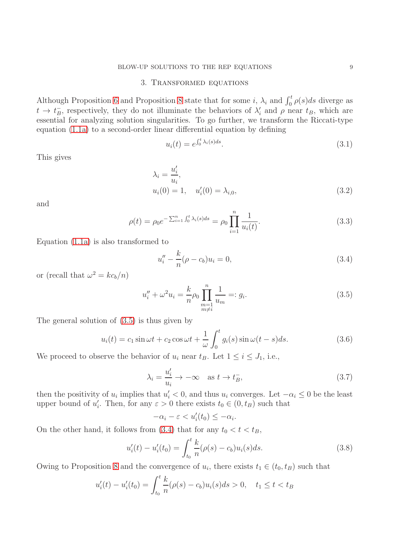#### BLOW-UP SOLUTIONS TO THE REP EQUATIONS 9

# 3. Transformed equations

Although Proposition [6](#page-6-2) and Proposition [8](#page-7-1) state that for some *i*,  $\lambda_i$  and  $\int_0^t \rho(s)ds$  diverge as  $t \to t_B^ \bar{B}$ , respectively, they do not illuminate the behaviors of  $\lambda'$  and  $\rho$  near  $t_B$ , which are essential for analyzing solution singularities. To go further, we transform the Riccati-type equation [\(1.1a\)](#page-0-2) to a second-order linear differential equation by defining

<span id="page-8-6"></span><span id="page-8-5"></span>
$$
u_i(t) = e^{\int_0^t \lambda_i(s)ds}.\tag{3.1}
$$

This gives

$$
\lambda_i = \frac{u'_i}{u_i}, u_i(0) = 1, \quad u'_i(0) = \lambda_{i,0},
$$
\n(3.2)

and

$$
\rho(t) = \rho_0 e^{-\sum_{i=1}^n \int_0^t \lambda_i(s) ds} = \rho_0 \prod_{i=1}^n \frac{1}{u_i(t)}.
$$
\n(3.3)

Equation [\(1.1a\)](#page-0-2) is also transformed to

<span id="page-8-7"></span><span id="page-8-1"></span>
$$
u''_i - \frac{k}{n}(\rho - c_b)u_i = 0,
$$
\n(3.4)

or (recall that  $\omega^2 = kc_b/n$ )

<span id="page-8-0"></span>
$$
u''_i + \omega^2 u_i = \frac{k}{n} \rho_0 \prod_{\substack{m=1 \ m \neq i}}^n \frac{1}{u_m} =: g_i.
$$
 (3.5)

The general solution of [\(3.5\)](#page-8-0) is thus given by

<span id="page-8-3"></span>
$$
u_i(t) = c_1 \sin \omega t + c_2 \cos \omega t + \frac{1}{\omega} \int_0^t g_i(s) \sin \omega (t - s) ds.
$$
 (3.6)

We proceed to observe the behavior of  $u_i$  near  $t_B$ . Let  $1 \le i \le J_1$ , i.e.,

<span id="page-8-2"></span>
$$
\lambda_i = \frac{u'_i}{u_i} \to -\infty \quad \text{as } t \to t_B^-, \tag{3.7}
$$

then the positivity of  $u_i$  implies that  $u'_i < 0$ , and thus  $u_i$  converges. Let  $-\alpha_i \leq 0$  be the least upper bound of  $u'_i$ . Then, for any  $\varepsilon > 0$  there exists  $t_0 \in (0, t_B)$  such that

$$
-\alpha_i - \varepsilon < u_i'(t_0) \leq -\alpha_i.
$$

On the other hand, it follows from  $(3.4)$  that for any  $t_0 < t < t_B$ ,

<span id="page-8-4"></span>
$$
u_i'(t) - u_i'(t_0) = \int_{t_0}^t \frac{k}{n} (\rho(s) - c_b) u_i(s) ds.
$$
 (3.8)

Owing to Proposition [8](#page-7-1) and the convergence of  $u_i$ , there exists  $t_1 \in (t_0, t_B)$  such that

$$
u_i'(t) - u_i'(t_0) = \int_{t_0}^t \frac{k}{n} (\rho(s) - c_b) u_i(s) ds > 0, \quad t_1 \le t < t_B
$$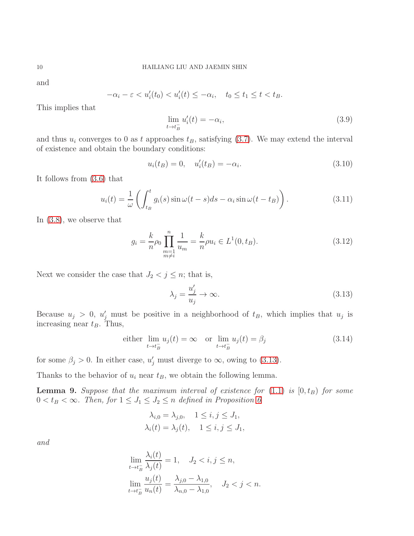and

$$
-\alpha_i - \varepsilon < u_i'(t_0) < u_i'(t) \le -\alpha_i, \quad t_0 \le t_1 \le t < t_B.
$$

This implies that

$$
\lim_{t \to t_B^-} u_i'(t) = -\alpha_i,\tag{3.9}
$$

and thus  $u_i$  converges to 0 as t approaches  $t_B$ , satisfying [\(3.7\)](#page-8-2). We may extend the interval of existence and obtain the boundary conditions:

<span id="page-9-1"></span>
$$
u_i(t_B) = 0, \quad u'_i(t_B) = -\alpha_i. \tag{3.10}
$$

It follows from [\(3.6\)](#page-8-3) that

<span id="page-9-4"></span>
$$
u_i(t) = \frac{1}{\omega} \left( \int_{t_B}^t g_i(s) \sin \omega(t - s) ds - \alpha_i \sin \omega(t - t_B) \right).
$$
 (3.11)

In [\(3.8\)](#page-8-4), we observe that

$$
g_i = \frac{k}{n} \rho_0 \prod_{\substack{m=1 \ m \neq i}}^n \frac{1}{u_m} = \frac{k}{n} \rho u_i \in L^1(0, t_B).
$$
 (3.12)

Next we consider the case that  $J_2 < j \leq n$ ; that is,

<span id="page-9-0"></span>
$$
\lambda_j = \frac{u'_j}{u_j} \to \infty.
$$
\n(3.13)

Because  $u_j > 0$ ,  $u'_j$  must be positive in a neighborhood of  $t_B$ , which implies that  $u_j$  is increasing near  $t_B$ . Thus,

<span id="page-9-2"></span>either 
$$
\lim_{t \to t_B^-} u_j(t) = \infty
$$
 or  $\lim_{t \to t_B^-} u_j(t) = \beta_j$  (3.14)

for some  $\beta_j > 0$ . In either case,  $u'_j$  must diverge to  $\infty$ , owing to [\(3.13\)](#page-9-0).

Thanks to the behavior of  $u_i$  near  $t_B$ , we obtain the following lemma.

<span id="page-9-3"></span>**Lemma 9.** Suppose that the maximum interval of existence for  $(1.1)$  is  $[0, t_B)$  for some  $0 < t_B < \infty$ . Then, for  $1 \leq J_1 \leq J_2 \leq n$  defined in Proposition [6](#page-6-2)

$$
\lambda_{i,0} = \lambda_{j,0}, \quad 1 \le i, j \le J_1,
$$
  

$$
\lambda_i(t) = \lambda_j(t), \quad 1 \le i, j \le J_1,
$$

and

$$
\lim_{t \to t_B^-} \frac{\lambda_i(t)}{\lambda_j(t)} = 1, \quad J_2 < i, j \le n,
$$
  

$$
\lim_{t \to t_B^-} \frac{u_j(t)}{u_n(t)} = \frac{\lambda_{j,0} - \lambda_{1,0}}{\lambda_{n,0} - \lambda_{1,0}}, \quad J_2 < j < n.
$$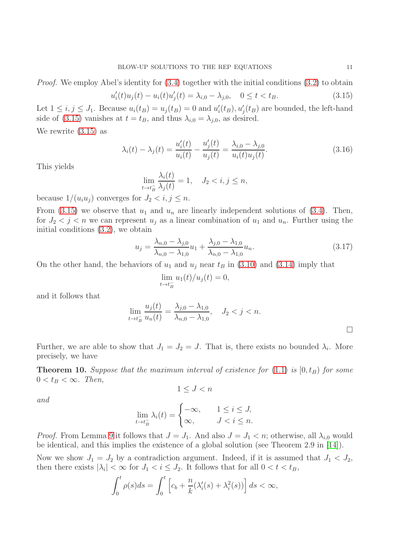*Proof.* We employ Abel's identity for  $(3.4)$  together with the initial conditions  $(3.2)$  to obtain

<span id="page-10-0"></span>
$$
u_i'(t)u_j(t) - u_i(t)u_j'(t) = \lambda_{i,0} - \lambda_{j,0}, \quad 0 \le t < t_B. \tag{3.15}
$$

Let  $1 \leq i, j \leq J_1$ . Because  $u_i(t_B) = u_j(t_B) = 0$  and  $u'_i(t_B), u'_j(t_B)$  are bounded, the left-hand side of [\(3.15\)](#page-10-0) vanishes at  $t = t_B$ , and thus  $\lambda_{i,0} = \lambda_{j,0}$ , as desired.

We rewrite [\(3.15\)](#page-10-0) as

<span id="page-10-2"></span>
$$
\lambda_i(t) - \lambda_j(t) = \frac{u_i'(t)}{u_i(t)} - \frac{u_j'(t)}{u_j(t)} = \frac{\lambda_{i,0} - \lambda_{j,0}}{u_i(t)u_j(t)}.
$$
\n(3.16)

This yields

$$
\lim_{t \to t_B^-} \frac{\lambda_i(t)}{\lambda_j(t)} = 1, \quad J_2 < i, j \le n,
$$

because  $1/(u_i u_j)$  converges for  $J_2 < i, j \leq n$ .

From [\(3.15\)](#page-10-0) we observe that  $u_1$  and  $u_n$  are linearly independent solutions of [\(3.4\)](#page-8-1). Then, for  $J_2 < j < n$  we can represent  $u_j$  as a linear combination of  $u_1$  and  $u_n$ . Further using the initial conditions [\(3.2\)](#page-8-5), we obtain

<span id="page-10-3"></span>
$$
u_j = \frac{\lambda_{n,0} - \lambda_{j,0}}{\lambda_{n,0} - \lambda_{1,0}} u_1 + \frac{\lambda_{j,0} - \lambda_{1,0}}{\lambda_{n,0} - \lambda_{1,0}} u_n.
$$
\n(3.17)

On the other hand, the behaviors of  $u_1$  and  $u_j$  near  $t_B$  in [\(3.10\)](#page-9-1) and [\(3.14\)](#page-9-2) imply that

$$
\lim_{t \to t_B^-} u_1(t)/u_j(t) = 0,
$$

and it follows that

$$
\lim_{t \to t_B^-} \frac{u_j(t)}{u_n(t)} = \frac{\lambda_{j,0} - \lambda_{1,0}}{\lambda_{n,0} - \lambda_{1,0}}, \quad J_2 < j < n.
$$

Further, we are able to show that  $J_1 = J_2 = J$ . That is, there exists no bounded  $\lambda_i$ . More precisely, we have

<span id="page-10-1"></span>**Theorem 10.** Suppose that the maximum interval of existence for  $(1.1)$  is  $[0, t_B)$  for some  $0 < t_B < \infty$ . Then,

$$
1 \leq J < n
$$

and

$$
\lim_{t \to t_B^-} \lambda_i(t) = \begin{cases} -\infty, & 1 \le i \le J, \\ \infty, & J < i \le n. \end{cases}
$$

*Proof.* From Lemma [9](#page-9-3) it follows that  $J = J_1$ . And also  $J = J_1 < n$ ; otherwise, all  $\lambda_{i,0}$  would be identical, and this implies the existence of a global solution (see Theorem 2.9 in [\[14\]](#page-30-1)).

Now we show  $J_1 = J_2$  by a contradiction argument. Indeed, if it is assumed that  $J_1 < J_2$ , then there exists  $|\lambda_i| < \infty$  for  $J_1 < i \leq J_2$ . It follows that for all  $0 < t < t_B$ ,

$$
\int_0^t \rho(s)ds = \int_0^t \left[c_b + \frac{n}{k}(\lambda_i'(s) + \lambda_i^2(s))\right]ds < \infty,
$$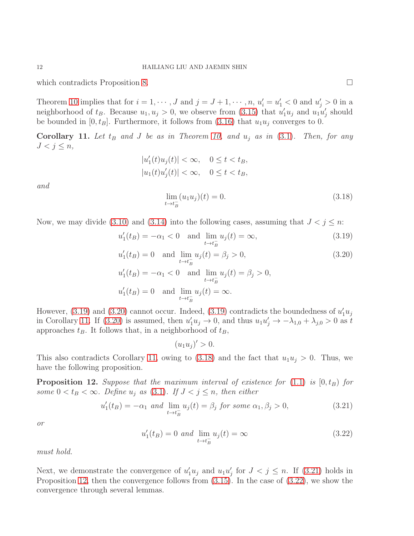which contradicts Proposition [8.](#page-7-1)

Theorem [10](#page-10-1) implies that for  $i = 1, \dots, J$  and  $j = J + 1, \dots, n$ ,  $u'_i = u'_1 < 0$  and  $u'_j > 0$  in a neighborhood of  $t_B$ . Because  $u_1, u_j > 0$ , we observe from [\(3.15\)](#page-10-0) that  $u'_1u_j$  and  $u_1u'_j$  should be bounded in  $[0, t_B]$ . Furthermore, it follows from  $(3.16)$  that  $u_1u_j$  converges to 0.

<span id="page-11-2"></span>**Corollary 11.** Let  $t_B$  and J be as in Theorem [10,](#page-10-1) and  $u_j$  as in [\(3.1\)](#page-8-6). Then, for any  $J < j \leq n$ ,

$$
|u'_1(t)u_j(t)| < \infty, \quad 0 \le t < t_B,
$$
  

$$
|u_1(t)u'_j(t)| < \infty, \quad 0 \le t < t_B,
$$

and

<span id="page-11-3"></span><span id="page-11-1"></span><span id="page-11-0"></span>
$$
\lim_{t \to t_B^-} (u_1 u_j)(t) = 0. \tag{3.18}
$$

Now, we may divide [\(3.10\)](#page-9-1) and [\(3.14\)](#page-9-2) into the following cases, assuming that  $J < j \leq n$ .

$$
u'_1(t_B) = -\alpha_1 < 0
$$
 and  $\lim_{t \to t_B^-} u_j(t) = \infty,$  (3.19)

$$
u_1'(t_B) = 0 \text{ and } \lim_{t \to t_B^-} u_j(t) = \beta_j > 0,
$$
\n(3.20)

$$
u'_1(t_B) = -\alpha_1 < 0 \quad \text{and} \quad \lim_{t \to t_B^-} u_j(t) = \beta_j > 0,
$$
\n
$$
u'_1(t_B) = 0 \quad \text{and} \quad \lim_{t \to t_B^-} u_j(t) = \infty.
$$

However, [\(3.19\)](#page-11-0) and [\(3.20\)](#page-11-1) cannot occur. Indeed, (3.19) contradicts the boundedness of  $u_1'u_j$ in Corollary [11.](#page-11-2) If [\(3.20\)](#page-11-1) is assumed, then  $u'_1u_j \to 0$ , and thus  $u_1u'_j \to -\lambda_{1,0} + \lambda_{j,0} > 0$  as t approaches  $t_B$ . It follows that, in a neighborhood of  $t_B$ ,

 $(u_1 u_j)' > 0.$ 

This also contradicts Corollary [11,](#page-11-2) owing to [\(3.18\)](#page-11-3) and the fact that  $u_1u_j > 0$ . Thus, we have the following proposition.

<span id="page-11-5"></span>**Proposition 12.** Suppose that the maximum interval of existence for  $(1.1)$  is  $[0,t_B)$  for some  $0 < t_B < \infty$ . Define  $u_j$  as [\(3.1\)](#page-8-6). If  $J < j \leq n$ , then either

<span id="page-11-4"></span>
$$
u_1'(t_B) = -\alpha_1 \text{ and } \lim_{t \to t_B^-} u_j(t) = \beta_j \text{ for some } \alpha_1, \beta_j > 0,
$$
\n(3.21)

or

<span id="page-11-6"></span>
$$
u'_1(t_B) = 0
$$
 and  $\lim_{t \to t_B^-} u_j(t) = \infty$  (3.22)

must hold.

Next, we demonstrate the convergence of  $u'_1u_j$  and  $u_1u'_j$  for  $J < j \leq n$ . If [\(3.21\)](#page-11-4) holds in Proposition [12,](#page-11-5) then the convergence follows from [\(3.15\)](#page-10-0). In the case of [\(3.22\)](#page-11-6), we show the convergence through several lemmas.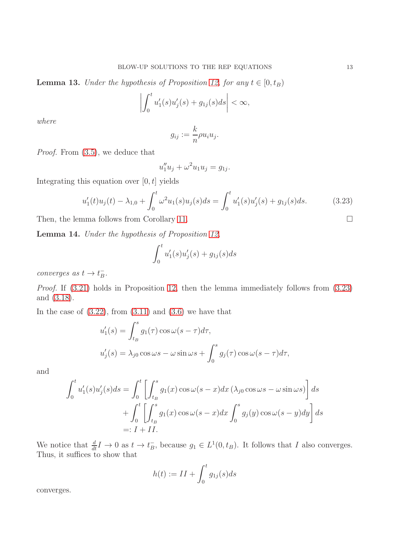<span id="page-12-1"></span>**Lemma 13.** Under the hypothesis of Proposition [12,](#page-11-5) for any  $t \in [0, t_B)$ 

$$
\left| \int_0^t u_1'(s)u_j'(s) + g_{1j}(s)ds \right| < \infty,
$$

where

$$
g_{ij} := \frac{k}{n} \rho u_i u_j.
$$

Proof. From [\(3.5\)](#page-8-0), we deduce that

$$
u_1''u_j + \omega^2 u_1 u_j = g_{1j}.
$$

Integrating this equation over  $[0, t]$  yields

<span id="page-12-0"></span>
$$
u_1'(t)u_j(t) - \lambda_{1,0} + \int_0^t \omega^2 u_1(s)u_j(s)ds = \int_0^t u_1'(s)u_j'(s) + g_{1j}(s)ds.
$$
 (3.23)

Then, the lemma follows from Corollary [11.](#page-11-2)

<span id="page-12-2"></span>Lemma 14. Under the hypothesis of Proposition [12,](#page-11-5)

$$
\int_0^t u_1'(s)u_j'(s) + g_{1j}(s)ds
$$

converges as  $t \to t_B^ \frac{-}{B}$ .

Proof. If  $(3.21)$  holds in Proposition [12,](#page-11-5) then the lemma immediately follows from  $(3.23)$ and [\(3.18\)](#page-11-3).

In the case of  $(3.22)$ , from  $(3.11)$  and  $(3.6)$  we have that

$$
u'_1(s) = \int_{t_B}^s g_1(\tau) \cos \omega (s - \tau) d\tau,
$$
  

$$
u'_j(s) = \lambda_{j0} \cos \omega s - \omega \sin \omega s + \int_0^s g_j(\tau) \cos \omega (s - \tau) d\tau,
$$

and

$$
\int_0^t u_1'(s)u_j'(s)ds = \int_0^t \left[ \int_{t_B}^s g_1(x) \cos \omega (s - x) dx \left( \lambda_{j0} \cos \omega s - \omega \sin \omega s \right) \right] ds
$$
  
+ 
$$
\int_0^t \left[ \int_{t_B}^s g_1(x) \cos \omega (s - x) dx \int_0^s g_j(y) \cos \omega (s - y) dy \right] ds
$$
  
=:  $I + II$ .

We notice that  $\frac{d}{dt}I \to 0$  as  $t \to t_B^ \overline{B}$ , because  $g_1 \in L^1(0, t_B)$ . It follows that I also converges. Thus, it suffices to show that

$$
h(t) := II + \int_0^t g_{1j}(s)ds
$$

converges.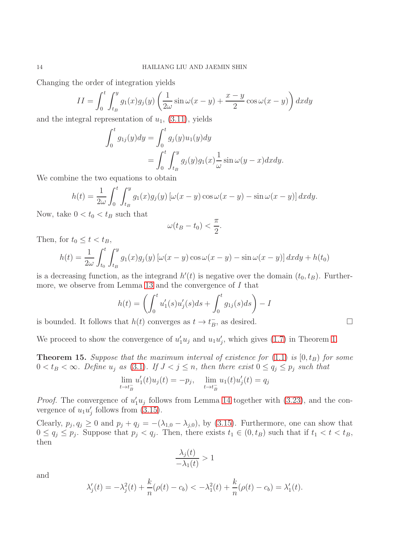Changing the order of integration yields

$$
II = \int_0^t \int_{t_B}^y g_1(x) g_j(y) \left( \frac{1}{2\omega} \sin \omega (x - y) + \frac{x - y}{2} \cos \omega (x - y) \right) dx dy
$$

and the integral representation of  $u_1$ ,  $(3.11)$ , yields

$$
\int_0^t g_{1j}(y) dy = \int_0^t g_j(y) u_1(y) dy
$$
  
= 
$$
\int_0^t \int_{t_B}^y g_j(y) g_1(x) \frac{1}{\omega} \sin \omega (y - x) dx dy.
$$

We combine the two equations to obtain

$$
h(t) = \frac{1}{2\omega} \int_0^t \int_{t_B}^y g_1(x) g_j(y) \left[ \omega(x - y) \cos \omega(x - y) - \sin \omega(x - y) \right] dx dy.
$$

Now, take  $0 < t_0 < t_B$  such that

$$
\omega(t_B-t_0)<\frac{\pi}{2}.
$$

Then, for  $t_0 \leq t < t_B$ ,

$$
h(t) = \frac{1}{2\omega} \int_{t_0}^t \int_{t_B}^y g_1(x) g_j(y) \left[ \omega(x - y) \cos \omega(x - y) - \sin \omega(x - y) \right] dx dy + h(t_0)
$$

is a decreasing function, as the integrand  $h'(t)$  is negative over the domain  $(t_0, t_B)$ . Furthermore, we observe from Lemma [13](#page-12-1) and the convergence of I that

$$
h(t) = \left(\int_0^t u_1'(s)u_j'(s)ds + \int_0^t g_{1j}(s)ds\right) - I
$$

is bounded. It follows that  $h(t)$  converges as  $t \to t_B^ \overline{B}$ , as desired.

We proceed to show the convergence of  $u'_1u_j$  and  $u_1u'_j$ , which gives [\(1.7\)](#page-2-1) in Theorem [1.](#page-2-2)

<span id="page-13-0"></span>**Theorem 15.** Suppose that the maximum interval of existence for  $(1.1)$  is  $[0, t_B)$  for some  $0 < t_B < \infty$ . Define  $u_j$  as [\(3.1\)](#page-8-6). If  $J < j \leq n$ , then there exist  $0 \leq q_j \leq p_j$  such that

$$
\lim_{t \to t_B^-} u_1'(t)u_j(t) = -p_j, \quad \lim_{t \to t_B^-} u_1(t)u'_j(t) = q_j
$$

*Proof.* The convergence of  $u'_1u_j$  follows from Lemma [14](#page-12-2) together with [\(3.23\)](#page-12-0), and the convergence of  $u_1u'_j$  follows from [\(3.15\)](#page-10-0).

Clearly,  $p_j, q_j \ge 0$  and  $p_j + q_j = -(\lambda_{1,0} - \lambda_{j,0}),$  by [\(3.15\)](#page-10-0). Furthermore, one can show that  $0 \le q_j \le p_j$ . Suppose that  $p_j < q_j$ . Then, there exists  $t_1 \in (0, t_B)$  such that if  $t_1 < t < t_B$ , then

$$
\frac{\lambda_j(t)}{-\lambda_1(t)} > 1
$$

and

$$
\lambda_j'(t) = -\lambda_j^2(t) + \frac{k}{n}(\rho(t) - c_b) < -\lambda_1^2(t) + \frac{k}{n}(\rho(t) - c_b) = \lambda_1'(t).
$$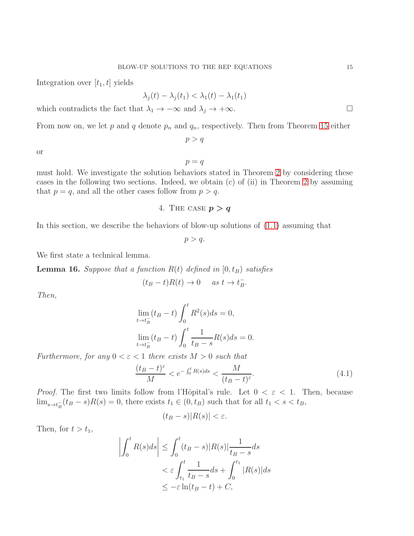Integration over  $[t_1, t]$  yields

$$
\lambda_j(t) - \lambda_j(t_1) < \lambda_1(t) - \lambda_1(t_1)
$$

which contradicts the fact that  $\lambda_1 \to -\infty$  and  $\lambda_j \to +\infty$ .

From now on, we let p and q denote  $p_n$  and  $q_n$ , respectively. Then from Theorem [15](#page-13-0) either

 $p > q$ 

or

 $p = q$ 

must hold. We investigate the solution behaviors stated in Theorem [2](#page-2-0) by considering these cases in the following two sections. Indeed, we obtain (c) of (ii) in Theorem [2](#page-2-0) by assuming that  $p = q$ , and all the other cases follow from  $p > q$ .

4. THE CASE  $p > q$ 

In this section, we describe the behaviors of blow-up solutions of [\(1.1\)](#page-0-1) assuming that

 $p > q$ .

We first state a technical lemma.

<span id="page-14-0"></span>**Lemma 16.** Suppose that a function  $R(t)$  defined in  $[0, t_B)$  satisfies

$$
(t_B - t)R(t) \to 0 \quad as \ t \to t_B^-.
$$

Then,

$$
\lim_{t \to t_B^-} (t_B - t) \int_0^t R^2(s) ds = 0,
$$
  
\n
$$
\lim_{t \to t_B^-} (t_B - t) \int_0^t \frac{1}{t_B - s} R(s) ds = 0.
$$

Furthermore, for any  $0 < \varepsilon < 1$  there exists  $M > 0$  such that

$$
\frac{(t_B - t)^{\varepsilon}}{M} < e^{-\int_0^t R(s)ds} < \frac{M}{(t_B - t)^{\varepsilon}}.\tag{4.1}
$$

*Proof.* The first two limits follow from l'Hôpital's rule. Let  $0 < \varepsilon < 1$ . Then, because  $\lim_{s \to t_B^-} (t_B - s)R(s) = 0$ , there exists  $t_1 \in (0, t_B)$  such that for all  $t_1 < s < t_B$ ,

<span id="page-14-1"></span>
$$
(t_B - s)|R(s)| < \varepsilon.
$$

Then, for  $t > t_1$ ,

$$
\left| \int_0^t R(s)ds \right| \leq \int_0^t (t_B - s) |R(s)| \frac{1}{t_B - s} ds
$$
  

$$
< \varepsilon \int_{t_1}^t \frac{1}{t_B - s} ds + \int_0^{t_1} |R(s)| ds
$$
  

$$
\leq -\varepsilon \ln(t_B - t) + C,
$$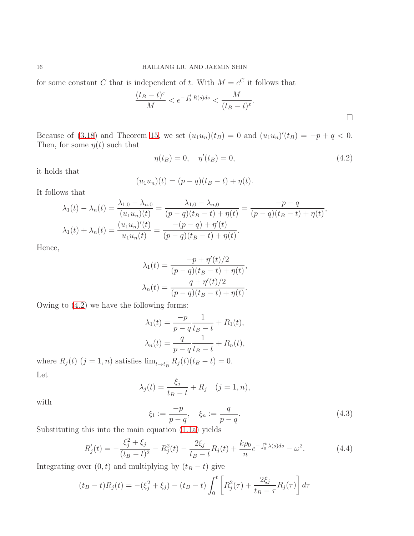for some constant C that is independent of t. With  $M = e^C$  it follows that

$$
\frac{(t_B - t)^{\varepsilon}}{M} < e^{-\int_0^t R(s)ds} < \frac{M}{(t_B - t)^{\varepsilon}}.
$$

Because of [\(3.18\)](#page-11-3) and Theorem [15,](#page-13-0) we set  $(u_1u_n)(t_B) = 0$  and  $(u_1u_n)'(t_B) = -p + q < 0$ . Then, for some  $\eta(t)$  such that

<span id="page-15-0"></span>
$$
\eta(t_B) = 0, \quad \eta'(t_B) = 0,\tag{4.2}
$$

it holds that

$$
(u_1u_n)(t) = (p-q)(t_B - t) + \eta(t).
$$

It follows that

$$
\lambda_1(t) - \lambda_n(t) = \frac{\lambda_{1,0} - \lambda_{n,0}}{(u_1 u_n)(t)} = \frac{\lambda_{1,0} - \lambda_{n,0}}{(p-q)(t_B - t) + \eta(t)} = \frac{-p - q}{(p-q)(t_B - t) + \eta(t)},
$$
  

$$
\lambda_1(t) + \lambda_n(t) = \frac{(u_1 u_n)'(t)}{u_1 u_n(t)} = \frac{-(p - q) + \eta'(t)}{(p - q)(t_B - t) + \eta(t)}.
$$

Hence,

$$
\lambda_1(t) = \frac{-p + \eta'(t)/2}{(p - q)(t_B - t) + \eta(t)},
$$

$$
\lambda_n(t) = \frac{q + \eta'(t)/2}{(p - q)(t_B - t) + \eta(t)}.
$$

Owing to [\(4.2\)](#page-15-0) we have the following forms:

$$
\lambda_1(t) = \frac{-p}{p - q} \frac{1}{t_B - t} + R_1(t),
$$
  

$$
\lambda_n(t) = \frac{q}{p - q} \frac{1}{t_B - t} + R_n(t),
$$

where  $R_j(t)$   $(j = 1, n)$  satisfies  $\lim_{t \to t_B^-} R_j(t)(t_B - t) = 0.$ Let

$$
\lambda_j(t) = \frac{\xi_j}{t_B - t} + R_j \quad (j = 1, n),
$$

with

$$
\xi_1 := \frac{-p}{p-q}, \quad \xi_n := \frac{q}{p-q}.\tag{4.3}
$$

Substituting this into the main equation [\(1.1a\)](#page-0-2) yields

$$
R_j'(t) = -\frac{\xi_j^2 + \xi_j}{(t_B - t)^2} - R_j^2(t) - \frac{2\xi_j}{t_B - t}R_j(t) + \frac{k\rho_0}{n}e^{-\int_0^t \lambda(s)ds} - \omega^2.
$$
 (4.4)

Integrating over  $(0, t)$  and multiplying by  $(t_B - t)$  give

$$
(t_B - t)R_j(t) = -(\xi_j^2 + \xi_j) - (t_B - t) \int_0^t \left[ R_j^2(\tau) + \frac{2\xi_j}{t_B - \tau} R_j(\tau) \right] d\tau
$$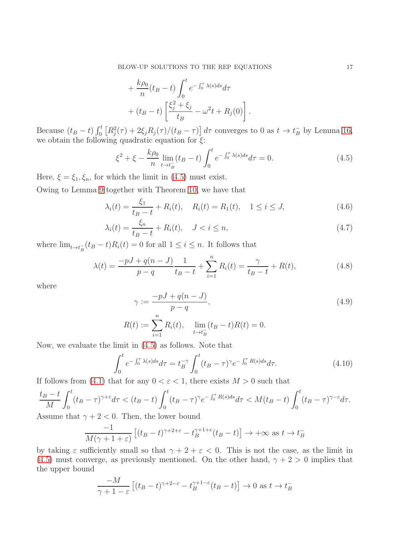$$
+\frac{k\rho_0}{n}(t_B-t)\int_0^t e^{-\int_0^\tau \lambda(s)ds}d\tau
$$

$$
+(t_B-t)\left[\frac{\xi_j^2+\xi_j}{t_B}-\omega^2t+R_j(0)\right].
$$

Because  $(t_B - t) \int_0^t \left[ R_j^2(\tau) + 2\xi_j R_j(\tau) / (t_B - \tau) \right] d\tau$  converges to 0 as  $t \to t_B^-$  by Lemma [16,](#page-14-0) we obtain the following quadratic equation for  $\xi$ :

<span id="page-16-3"></span><span id="page-16-0"></span>
$$
\xi^2 + \xi - \frac{k\rho_0}{n} \lim_{t \to t_B^-} (t_B - t) \int_0^t e^{-\int_0^{\tau} \lambda(s)ds} d\tau = 0.
$$
 (4.5)

Here,  $\xi = \xi_1, \xi_n$ , for which the limit in [\(4.5\)](#page-16-0) must exist.

Owing to Lemma [9](#page-9-3) together with Theorem [10,](#page-10-1) we have that

$$
\lambda_i(t) = \frac{\xi_1}{t_B - t} + R_i(t), \quad R_i(t) = R_1(t), \quad 1 \le i \le J,
$$
\n(4.6)

$$
\lambda_i(t) = \frac{\xi_n}{t_B - t} + R_i(t), \quad J < i \le n,\tag{4.7}
$$

where  $\lim_{t \to t_B^-} (t_B - t)R_i(t) = 0$  for all  $1 \le i \le n$ . It follows that

$$
\lambda(t) = \frac{-pJ + q(n - J)}{p - q} \frac{1}{t_B - t} + \sum_{i=1}^{n} R_i(t) = \frac{\gamma}{t_B - t} + R(t),\tag{4.8}
$$

where

<span id="page-16-5"></span><span id="page-16-4"></span><span id="page-16-1"></span>
$$
\gamma := \frac{-pJ + q(n - J)}{p - q},
$$
  
\n
$$
R(t) := \sum_{i=1}^{n} R_i(t), \quad \lim_{t \to t_B^{-}} (t_B - t)R(t) = 0.
$$
\n(4.9)

Now, we evaluate the limit in [\(4.5\)](#page-16-0) as follows. Note that

<span id="page-16-2"></span>
$$
\int_0^t e^{-\int_0^{\tau} \lambda(s)ds} d\tau = t_B^{-\gamma} \int_0^t (t_B - \tau)^\gamma e^{-\int_0^{\tau} R(s)ds} d\tau.
$$
 (4.10)

If follows from [\(4.1\)](#page-14-1) that for any  $0 < \varepsilon < 1$ , there exists  $M > 0$  such that

$$
\frac{t_B - t}{M} \int_0^t (t_B - \tau)^{\gamma + \varepsilon} d\tau \, < (t_B - t) \int_0^t (t_B - \tau)^{\gamma} e^{-\int_0^{\tau} R(s) ds} d\tau \, < M(t_B - t) \int_0^t (t_B - \tau)^{\gamma - \varepsilon} d\tau.
$$

Assume that  $\gamma + 2 < 0$ . Then, the lower bound

$$
\frac{-1}{M(\gamma+1+\varepsilon)}\left[ (t_B - t)^{\gamma+2+\varepsilon} - t_B^{\gamma+1+\varepsilon}(t_B - t) \right] \to +\infty \text{ as } t \to t_B^-
$$

by taking  $\varepsilon$  sufficiently small so that  $\gamma + 2 + \varepsilon < 0$ . This is not the case, as the limit in [\(4.5\)](#page-16-0) must converge, as previously mentioned. On the other hand,  $\gamma + 2 > 0$  implies that the upper bound

$$
\frac{-M}{\gamma+1-\varepsilon}\left[ (t_B - t)^{\gamma+2-\varepsilon} - t_B^{\gamma+1-\varepsilon}(t_B - t) \right] \to 0 \text{ as } t \to t_B^-
$$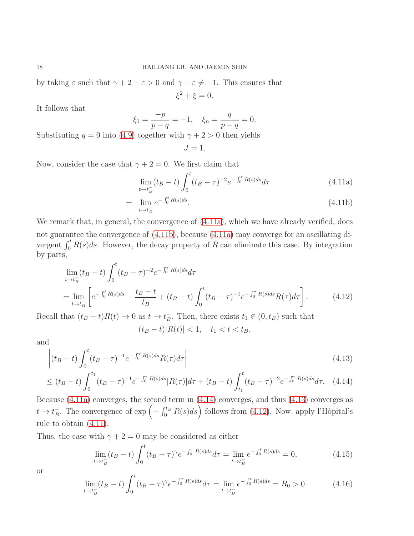by taking  $\varepsilon$  such that  $\gamma + 2 - \varepsilon > 0$  and  $\gamma - \varepsilon \neq -1$ . This ensures that  $\xi^2 + \xi = 0.$ 

It follows that

$$
\xi_1 = \frac{-p}{p-q} = -1, \quad \xi_n = \frac{q}{p-q} = 0.
$$

Substituting  $q = 0$  into [\(4.9\)](#page-16-1) together with  $\gamma + 2 > 0$  then yields

<span id="page-17-4"></span>
$$
J=1.
$$

Now, consider the case that  $\gamma + 2 = 0$ . We first claim that

<span id="page-17-0"></span>
$$
\lim_{t \to t_B^-} (t_B - t) \int_0^t (t_B - \tau)^{-2} e^{-\int_0^{\tau} R(s) ds} d\tau \tag{4.11a}
$$

$$
= \lim_{t \to t_B^-} e^{-\int_0^t R(s)ds}.
$$
\n(4.11b)

We remark that, in general, the convergence of  $(4.11a)$ , which we have already verified, does not guarantee the convergence of [\(4.11b\)](#page-17-0), because [\(4.11a\)](#page-17-0) may converge for an oscillating divergent  $\int_0^t R(s)ds$ . However, the decay property of R can eliminate this case. By integration by parts,

$$
\lim_{t \to t_B^-} (t_B - t) \int_0^t (t_B - \tau)^{-2} e^{-\int_0^{\tau} R(s) ds} d\tau
$$
\n
$$
= \lim_{t \to t_B^-} \left[ e^{-\int_0^t R(s) ds} - \frac{t_B - t}{t_B} + (t_B - t) \int_0^t (t_B - \tau)^{-1} e^{-\int_0^{\tau} R(s) ds} R(\tau) d\tau \right].
$$
\n(4.12)

Recall that  $(t_B - t)R(t) \to 0$  as  $t \to t_B^ \bar{B}$ . Then, there exists  $t_1 \in (0, t_B)$  such that

<span id="page-17-3"></span><span id="page-17-2"></span><span id="page-17-1"></span> $(t_B - t)|R(t)| < 1, \quad t_1 < t < t_B,$ 

and

$$
\left| (t_B - t) \int_0^t (t_B - \tau)^{-1} e^{-\int_0^{\tau} R(s)ds} R(\tau) d\tau \right|
$$
\n(4.13)

$$
\leq (t_B - t) \int_0^{t_1} (t_B - \tau)^{-1} e^{-\int_0^{\tau} R(s)ds} |R(\tau)| d\tau + (t_B - t) \int_{t_1}^t (t_B - \tau)^{-2} e^{-\int_0^{\tau} R(s)ds} d\tau.
$$
 (4.14)

Because [\(4.11a\)](#page-17-0) converges, the second term in [\(4.14\)](#page-17-1) converges, and thus [\(4.13\)](#page-17-2) converges as  $t \to t_B^ \bar{B}_B$ . The convergence of  $\exp\left(-\int_0^{t_B} R(s)ds\right)$  follows from [\(4.12\)](#page-17-3). Now, apply l'Hôpital's rule to obtain [\(4.11\)](#page-17-4).

Thus, the case with  $\gamma + 2 = 0$  may be considered as either

<span id="page-17-5"></span>
$$
\lim_{t \to t_B^-} (t_B - t) \int_0^t (t_B - \tau)^\gamma e^{-\int_0^\tau R(s)ds} d\tau = \lim_{t \to t_B^-} e^{-\int_0^t R(s)ds} = 0,
$$
\n(4.15)

or

<span id="page-17-6"></span>
$$
\lim_{t \to t_B^-} (t_B - t) \int_0^t (t_B - \tau)^\gamma e^{-\int_0^\tau R(s)ds} d\tau = \lim_{t \to t_B^-} e^{-\int_0^t R(s)ds} = R_0 > 0. \tag{4.16}
$$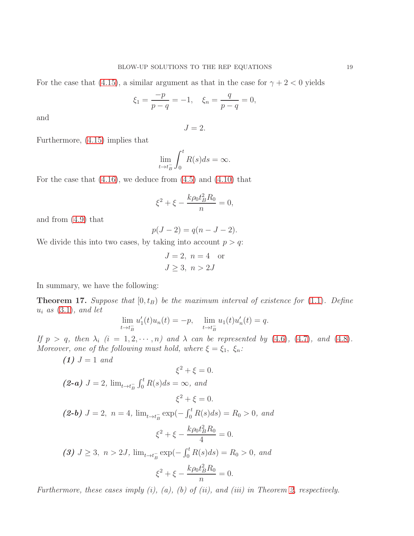For the case that [\(4.15\)](#page-17-5), a similar argument as that in the case for  $\gamma + 2 < 0$  yields

$$
\xi_1 = \frac{-p}{p-q} = -1, \quad \xi_n = \frac{q}{p-q} = 0,
$$

and

$$
J=2.
$$

Furthermore, [\(4.15\)](#page-17-5) implies that

$$
\lim_{t \to t_B^-} \int_0^t R(s)ds = \infty.
$$

For the case that  $(4.16)$ , we deduce from  $(4.5)$  and  $(4.10)$  that

$$
\xi^2 + \xi - \frac{k\rho_0 t_B^2 R_0}{n} = 0,
$$

and from [\(4.9\)](#page-16-1) that

$$
p(J - 2) = q(n - J - 2).
$$

We divide this into two cases, by taking into account  $p > q$ :

$$
J = 2, n = 4 \text{ or}
$$
  

$$
J \ge 3, n > 2J
$$

In summary, we have the following:

<span id="page-18-0"></span>**Theorem 17.** Suppose that  $[0, t_B)$  be the maximum interval of existence for  $(1.1)$ . Define  $u_i$  as  $(3.1)$ , and let

$$
\lim_{t \to t_B^-} u_1'(t)u_n(t) = -p, \quad \lim_{t \to t_B^-} u_1(t)u_n'(t) = q.
$$

If  $p > q$ , then  $\lambda_i$   $(i = 1, 2, \dots, n)$  and  $\lambda$  can be represented by [\(4.6\)](#page-16-3), [\(4.7\)](#page-16-4), and [\(4.8\)](#page-16-5). Moreover, one of the following must hold, where  $\xi = \xi_1, \xi_n$ :

 $(1) J = 1 and$ 

$$
\xi^2 + \xi = 0.
$$

(2-a) 
$$
J = 2
$$
,  $\lim_{t \to t_B^-} \int_0^t R(s) ds = \infty$ , and  
 $\xi^2 + \xi = 0$ .

(2-b)  $J = 2$ ,  $n = 4$ ,  $\lim_{t \to t_B^-} \exp(-\int_0^t R(s)ds) = R_0 > 0$ , and  $\xi^2 + \xi - \frac{k\rho_0 t_B^2 R_0}{4}$ 4  $= 0.$ (3)  $J \ge 3$ ,  $n > 2J$ ,  $\lim_{t \to t_B^-} \exp(-\int_0^t R(s)ds) = R_0 > 0$ , and  $\xi^2 + \xi - \frac{k\rho_0 t_B^2 R_0}{2}$  $= 0.$ 

Furthermore, these cases imply  $(i)$ ,  $(a)$ ,  $(b)$  of  $(ii)$ , and  $(iii)$  in Theorem [2,](#page-2-0) respectively.

n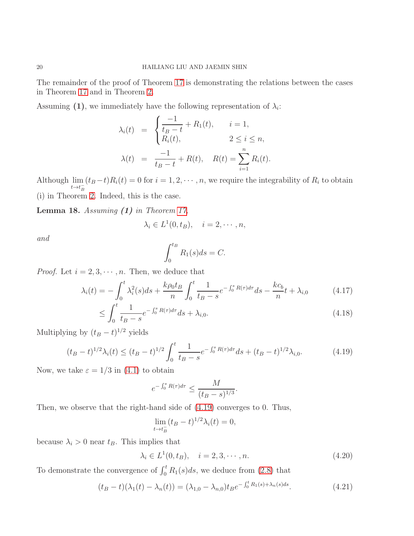The remainder of the proof of Theorem [17](#page-18-0) is demonstrating the relations between the cases in Theorem [17](#page-18-0) and in Theorem [2.](#page-2-0)

Assuming (1), we immediately have the following representation of  $\lambda_i$ :

$$
\lambda_i(t) = \begin{cases}\n\frac{-1}{t_B - t} + R_1(t), & i = 1, \\
R_i(t), & 2 \le i \le n, \\
\lambda(t) = \frac{-1}{t_B - t} + R(t), & R(t) = \sum_{i=1}^n R_i(t).\n\end{cases}
$$

Although lim  $t \rightarrow t_B^ (t_B - t)R_i(t) = 0$  for  $i = 1, 2, \dots, n$ , we require the integrability of  $R_i$  to obtain (i) in Theorem [2.](#page-2-0) Indeed, this is the case.

<span id="page-19-2"></span>**Lemma 18.** Assuming  $(1)$  in Theorem [17,](#page-18-0)

$$
\lambda_i \in L^1(0, t_B), \quad i = 2, \cdots, n,
$$

and

<span id="page-19-4"></span><span id="page-19-3"></span>
$$
\int_0^{t_B} R_1(s)ds = C.
$$

*Proof.* Let  $i = 2, 3, \dots, n$ . Then, we deduce that

$$
\lambda_i(t) = -\int_0^t \lambda_i^2(s)ds + \frac{k\rho_0 t_B}{n} \int_0^t \frac{1}{t_B - s} e^{-\int_0^s R(\tau)d\tau} ds - \frac{kc_b}{n} t + \lambda_{i,0} \tag{4.17}
$$

$$
\leq \int_0^t \frac{1}{t_B - s} e^{-\int_0^s R(\tau)d\tau} ds + \lambda_{i,0}.
$$
\n(4.18)

Multiplying by  $(t_B - t)^{1/2}$  yields

<span id="page-19-0"></span>
$$
(t_B - t)^{1/2} \lambda_i(t) \le (t_B - t)^{1/2} \int_0^t \frac{1}{t_B - s} e^{-\int_0^s R(\tau) d\tau} ds + (t_B - t)^{1/2} \lambda_{i,0}.
$$
 (4.19)

Now, we take  $\varepsilon = 1/3$  in [\(4.1\)](#page-14-1) to obtain

$$
e^{-\int_0^s R(\tau)d\tau} \le \frac{M}{(t_B - s)^{1/3}}.
$$

Then, we observe that the right-hand side of [\(4.19\)](#page-19-0) converges to 0. Thus,

<span id="page-19-5"></span>
$$
\lim_{t \to t_B^-} (t_B - t)^{1/2} \lambda_i(t) = 0,
$$

because  $\lambda_i > 0$  near  $t_B$ . This implies that

<span id="page-19-1"></span>
$$
\lambda_i \in L^1(0, t_B), \quad i = 2, 3, \cdots, n. \tag{4.20}
$$

To demonstrate the convergence of  $\int_0^t R_1(s)ds$ , we deduce from [\(2.8\)](#page-6-3) that

$$
(t_B - t)(\lambda_1(t) - \lambda_n(t)) = (\lambda_{1,0} - \lambda_{n,0})t_B e^{-\int_0^t R_1(s) + \lambda_n(s)ds}.
$$
\n(4.21)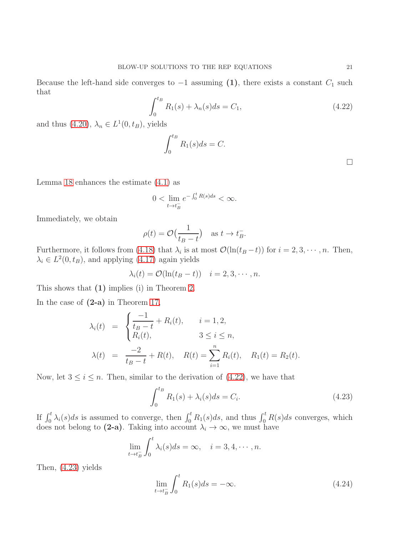Because the left-hand side converges to  $-1$  assuming (1), there exists a constant  $C_1$  such that

<span id="page-20-0"></span>
$$
\int_0^{t_B} R_1(s) + \lambda_n(s)ds = C_1,
$$
\n(4.22)

and thus  $(4.20)$ ,  $\lambda_n \in L^1(0, t_B)$ , yields

$$
\int_0^{t_B} R_1(s)ds = C.
$$

Lemma [18](#page-19-2) enhances the estimate  $(4.1)$  as

$$
0 < \lim_{t \to t_B^-} e^{-\int_0^t R(s)ds} < \infty.
$$

Immediately, we obtain

$$
\rho(t) = \mathcal{O}\left(\frac{1}{t_B - t}\right) \quad \text{as } t \to t_B^-.
$$

Furthermore, it follows from [\(4.18\)](#page-19-3) that  $\lambda_i$  is at most  $\mathcal{O}(\ln(t_B - t))$  for  $i = 2, 3, \dots, n$ . Then,  $\lambda_i \in L^2(0, t_B)$ , and applying [\(4.17\)](#page-19-4) again yields

$$
\lambda_i(t) = \mathcal{O}(\ln(t_B - t)) \quad i = 2, 3, \cdots, n.
$$

This shows that (1) implies (i) in Theorem [2.](#page-2-0)

In the case of  $(2-a)$  in Theorem [17,](#page-18-0)

$$
\lambda_i(t) = \begin{cases}\n\frac{-1}{t_B - t} + R_i(t), & i = 1, 2, \\
R_i(t), & 3 \le i \le n, \\
\lambda(t) = \frac{-2}{t_B - t} + R(t), & R(t) = \sum_{i=1}^n R_i(t), & R_1(t) = R_2(t).\n\end{cases}
$$

Now, let  $3 \leq i \leq n$ . Then, similar to the derivation of  $(4.22)$ , we have that

<span id="page-20-1"></span>
$$
\int_0^{t_B} R_1(s) + \lambda_i(s)ds = C_i.
$$
 (4.23)

If  $\int_0^t \lambda_i(s)ds$  is assumed to converge, then  $\int_0^t R_1(s)ds$ , and thus  $\int_0^t R(s)ds$  converges, which does not belong to (2-a). Taking into account  $\lambda_i \to \infty$ , we must have

$$
\lim_{t \to t_B^-} \int_0^t \lambda_i(s) ds = \infty, \quad i = 3, 4, \cdots, n.
$$

Then, [\(4.23\)](#page-20-1) yields

$$
\lim_{t \to t_B^-} \int_0^t R_1(s)ds = -\infty. \tag{4.24}
$$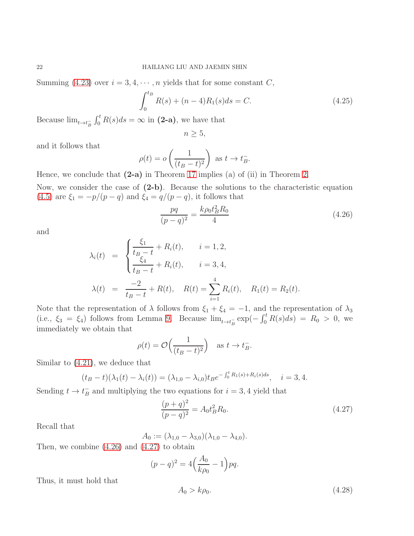Summing [\(4.23\)](#page-20-1) over  $i = 3, 4, \dots, n$  yields that for some constant C,

$$
\int_0^{t_B} R(s) + (n-4)R_1(s)ds = C.
$$
 (4.25)

Because  $\lim_{t \to t_B^-} \int_0^t R(s)ds = \infty$  in (2-a), we have that

$$
n \geq 5,
$$

and it follows that

$$
\rho(t) = o\left(\frac{1}{(t_B - t)^2}\right) \text{ as } t \to t_B^-.
$$

Hence, we conclude that  $(2-a)$  in Theorem [17](#page-18-0) implies  $(a)$  of  $(ii)$  in Theorem [2.](#page-2-0)

Now, we consider the case of (2-b). Because the solutions to the characteristic equation [\(4.5\)](#page-16-0) are  $\xi_1 = -p/(p-q)$  and  $\xi_4 = q/(p-q)$ , it follows that

<span id="page-21-0"></span>
$$
\frac{pq}{(p-q)^2} = \frac{k\rho_0 t_B^2 R_0}{4}
$$
\n(4.26)

and

$$
\lambda_i(t) = \begin{cases} \frac{\xi_1}{t_{B}-t} + R_i(t), & i = 1, 2, \\ \frac{\xi_4}{t_{B}-t} + R_i(t), & i = 3, 4, \end{cases}
$$
  

$$
\lambda(t) = \frac{-2}{t_{B}-t} + R(t), \quad R(t) = \sum_{i=1}^{4} R_i(t), \quad R_1(t) = R_2(t).
$$

Note that the representation of  $\lambda$  follows from  $\xi_1 + \xi_4 = -1$ , and the representation of  $\lambda_3$ (i.e.,  $\xi_3 = \xi_4$ ) follows from Lemma [9.](#page-9-3) Because  $\lim_{t \to t_B^-} \exp(-\int_0^t R(s) ds) = R_0 > 0$ , we immediately we obtain that

$$
\rho(t) = \mathcal{O}\Big(\frac{1}{(t_B - t)^2}\Big) \quad \text{as } t \to t_B^-.
$$

Similar to [\(4.21\)](#page-19-5), we deduce that

$$
(t_B - t)(\lambda_1(t) - \lambda_i(t)) = (\lambda_{1,0} - \lambda_{i,0})t_B e^{-\int_0^t R_1(s) + R_i(s)ds}, \quad i = 3, 4.
$$

Sending  $t \to t_B^ B_{B}^{-}$  and multiplying the two equations for  $i = 3, 4$  yield that

<span id="page-21-1"></span>
$$
\frac{(p+q)^2}{(p-q)^2} = A_0 t_B^2 R_0.
$$
\n(4.27)

Recall that

$$
A_0 := (\lambda_{1,0} - \lambda_{3,0})(\lambda_{1,0} - \lambda_{4,0}).
$$

Then, we combine [\(4.26\)](#page-21-0) and [\(4.27\)](#page-21-1) to obtain

$$
(p - q)^2 = 4\left(\frac{A_0}{k\rho_0} - 1\right)pq.
$$

Thus, it must hold that

$$
A_0 > k\rho_0. \tag{4.28}
$$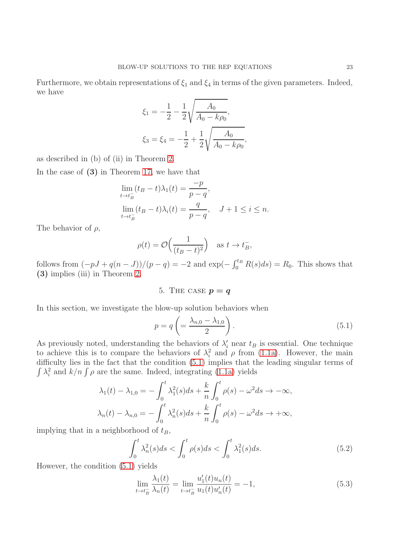Furthermore, we obtain representations of  $\xi_1$  and  $\xi_4$  in terms of the given parameters. Indeed, we have

$$
\xi_1 = -\frac{1}{2} - \frac{1}{2} \sqrt{\frac{A_0}{A_0 - k\rho_0}},
$$
  

$$
\xi_3 = \xi_4 = -\frac{1}{2} + \frac{1}{2} \sqrt{\frac{A_0}{A_0 - k\rho_0}},
$$

as described in (b) of (ii) in Theorem [2.](#page-2-0)

In the case of (3) in Theorem [17,](#page-18-0) we have that

$$
\lim_{t \to t_B^-} (t_B - t)\lambda_1(t) = \frac{-p}{p - q},
$$
  
\n
$$
\lim_{t \to t_B^-} (t_B - t)\lambda_i(t) = \frac{q}{p - q}, \quad J + 1 \le i \le n.
$$

The behavior of  $\rho$ ,

$$
\rho(t) = \mathcal{O}\Big(\frac{1}{(t_B - t)^2}\Big) \quad \text{as } t \to t_B^-,
$$

follows from  $(-pJ + q(n-J))/(p-q) = -2$  and  $\exp(-\int_0^{t_B} R(s)ds) = R_0$ . This shows that (3) implies (iii) in Theorem [2.](#page-2-0)

5. THE CASE  $p = q$ 

In this section, we investigate the blow-up solution behaviors when

<span id="page-22-0"></span>
$$
p = q \left( = \frac{\lambda_{n,0} - \lambda_{1,0}}{2} \right). \tag{5.1}
$$

As previously noted, understanding the behaviors of  $\lambda_i'$  near  $t_B$  is essential. One technique to achieve this is to compare the behaviors of  $\lambda_i^2$  and  $\rho$  from [\(1.1a\)](#page-0-2). However, the main difficulty lies in the fact that the condition [\(5.1\)](#page-22-0) implies that the leading singular terms of  $\int \lambda_i^2$  and  $k/n \int \rho$  are the same. Indeed, integrating [\(1.1a\)](#page-0-2) yields

$$
\lambda_1(t) - \lambda_{1,0} = -\int_0^t \lambda_1^2(s)ds + \frac{k}{n} \int_0^t \rho(s) - \omega^2 ds \to -\infty,
$$
  

$$
\lambda_n(t) - \lambda_{n,0} = -\int_0^t \lambda_n^2(s)ds + \frac{k}{n} \int_0^t \rho(s) - \omega^2 ds \to +\infty,
$$

implying that in a neighborhood of  $t_B$ ,

<span id="page-22-1"></span>
$$
\int_0^t \lambda_n^2(s)ds < \int_0^t \rho(s)ds < \int_0^t \lambda_1^2(s)ds. \tag{5.2}
$$

However, the condition [\(5.1\)](#page-22-0) yields

<span id="page-22-2"></span>
$$
\lim_{t \to t_B^-} \frac{\lambda_1(t)}{\lambda_n(t)} = \lim_{t \to t_B^-} \frac{u_1'(t)u_n(t)}{u_1(t)u_n'(t)} = -1,
$$
\n(5.3)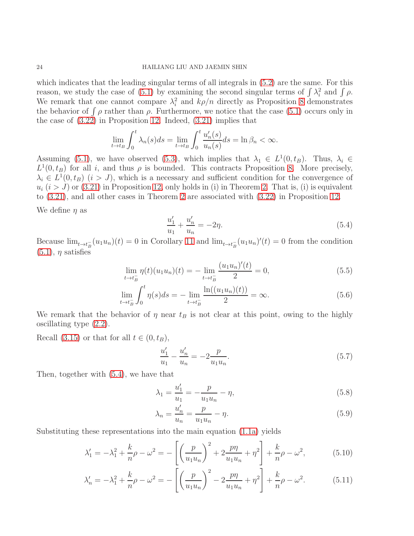## 24 HAILIANG LIU AND JAEMIN SHIN

which indicates that the leading singular terms of all integrals in [\(5.2\)](#page-22-1) are the same. For this reason, we study the case of [\(5.1\)](#page-22-0) by examining the second singular terms of  $\int \lambda_i^2$  and  $\int \rho$ . We remark that one cannot compare  $\lambda_i^2$  and  $k\rho/n$  directly as Proposition [8](#page-7-1) demonstrates the behavior of  $\int \rho$  rather than  $\rho$ . Furthermore, we notice that the case [\(5.1\)](#page-22-0) occurs only in the case of [\(3.22\)](#page-11-6) in Proposition [12.](#page-11-5) Indeed, [\(3.21\)](#page-11-4) implies that

$$
\lim_{t \to t_B} \int_0^t \lambda_n(s) ds = \lim_{t \to t_B} \int_0^t \frac{u'_n(s)}{u_n(s)} ds = \ln \beta_n < \infty.
$$

Assuming [\(5.1\)](#page-22-0), we have observed [\(5.3\)](#page-22-2), which implies that  $\lambda_1 \in L^1(0, t_B)$ . Thus,  $\lambda_i \in$  $L^1(0, t_B)$  for all i, and thus  $\rho$  is bounded. This contracts Proposition [8.](#page-7-1) More precisely,  $\lambda_i \in L^1(0, t_B)$   $(i > J)$ , which is a necessary and sufficient condition for the convergence of  $u_i$   $(i > J)$  or [\(3.21\)](#page-11-4) in Proposition [12,](#page-11-5) only holds in (i) in Theorem [2.](#page-2-0) That is, (i) is equivalent to [\(3.21\)](#page-11-4), and all other cases in Theorem [2](#page-2-0) are associated with [\(3.22\)](#page-11-6) in Proposition [12.](#page-11-5)

We define  $\eta$  as

<span id="page-23-6"></span><span id="page-23-1"></span><span id="page-23-0"></span>
$$
\frac{u_1'}{u_1} + \frac{u_n'}{u_n} = -2\eta.
$$
\n(5.4)

Because  $\lim_{t\to t_B^-}(u_1u_n)(t)=0$  in Corollary [11](#page-11-2) and  $\lim_{t\to t_B^-}(u_1u_n)'(t)=0$  from the condition  $(5.1)$ ,  $\eta$  satisfies

$$
\lim_{t \to t_B^-} \eta(t)(u_1 u_n)(t) = - \lim_{t \to t_B^-} \frac{(u_1 u_n)'(t)}{2} = 0,
$$
\n(5.5)

$$
\lim_{t \to t_B^-} \int_0^t \eta(s) ds = - \lim_{t \to t_B^-} \frac{\ln((u_1 u_n)(t))}{2} = \infty.
$$
\n(5.6)

We remark that the behavior of  $\eta$  near  $t_B$  is not clear at this point, owing to the highly oscillating type [\(2.2\)](#page-5-0).

Recall [\(3.15\)](#page-10-0) or that for all  $t \in (0, t_B)$ ,

<span id="page-23-4"></span>
$$
\frac{u_1'}{u_1} - \frac{u_n'}{u_n} = -2\frac{p}{u_1 u_n}.\tag{5.7}
$$

Then, together with [\(5.4\)](#page-23-0), we have that

$$
\lambda_1 = \frac{u_1'}{u_1} = -\frac{p}{u_1 u_n} - \eta,\tag{5.8}
$$

<span id="page-23-5"></span><span id="page-23-3"></span><span id="page-23-2"></span>
$$
\lambda_n = \frac{u'_n}{u_n} = \frac{p}{u_1 u_n} - \eta. \tag{5.9}
$$

Substituting these representations into the main equation [\(1.1a\)](#page-0-2) yields

$$
\lambda_1' = -\lambda_1^2 + \frac{k}{n}\rho - \omega^2 = -\left[\left(\frac{p}{u_1 u_n}\right)^2 + 2\frac{p\eta}{u_1 u_n} + \eta^2\right] + \frac{k}{n}\rho - \omega^2,\tag{5.10}
$$

$$
\lambda_n' = -\lambda_1^2 + \frac{k}{n}\rho - \omega^2 = -\left[\left(\frac{p}{u_1 u_n}\right)^2 - 2\frac{p\eta}{u_1 u_n} + \eta^2\right] + \frac{k}{n}\rho - \omega^2. \tag{5.11}
$$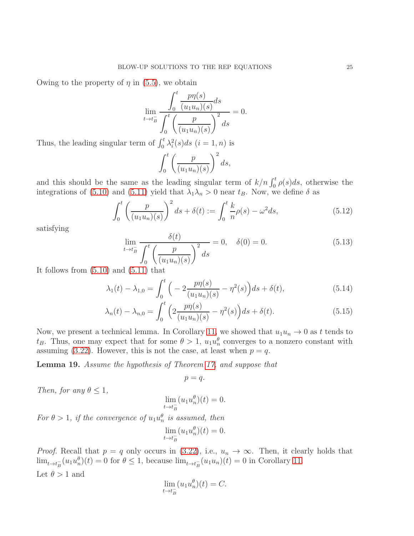Owing to the property of  $\eta$  in [\(5.5\)](#page-23-1), we obtain

$$
\lim_{t \to t_B^-} \frac{\int_0^t \frac{p\eta(s)}{(u_1 u_n)(s)} ds}{\int_0^t \left(\frac{p}{(u_1 u_n)(s)}\right)^2 ds} = 0.
$$

Thus, the leading singular term of  $\int_0^t \lambda_i^2(s)ds$   $(i = 1, n)$  is

$$
\int_0^t \left(\frac{p}{(u_1 u_n)(s)}\right)^2 ds,
$$

and this should be the same as the leading singular term of  $k/n \int_0^t \rho(s) ds$ , otherwise the integrations of [\(5.10\)](#page-23-2) and [\(5.11\)](#page-23-3) yield that  $\lambda_1 \lambda_n > 0$  near  $t_B$ . Now, we define  $\delta$  as

<span id="page-24-0"></span>
$$
\int_0^t \left( \frac{p}{(u_1 u_n)(s)} \right)^2 ds + \delta(t) := \int_0^t \frac{k}{n} \rho(s) - \omega^2 ds,
$$
\n(5.12)

satisfying

<span id="page-24-1"></span>
$$
\lim_{t \to t_B^-} \frac{\delta(t)}{\int_0^t \left(\frac{p}{(u_1 u_n)(s)}\right)^2 ds} = 0, \quad \delta(0) = 0.
$$
\n(5.13)

It follows from [\(5.10\)](#page-23-2) and [\(5.11\)](#page-23-3) that

$$
\lambda_1(t) - \lambda_{1,0} = \int_0^t \left( -2 \frac{p \eta(s)}{(u_1 u_n)(s)} - \eta^2(s) \right) ds + \delta(t),\tag{5.14}
$$

$$
\lambda_n(t) - \lambda_{n,0} = \int_0^t \left( 2 \frac{p \eta(s)}{(u_1 u_n)(s)} - \eta^2(s) \right) ds + \delta(t). \tag{5.15}
$$

Now, we present a technical lemma. In Corollary [11,](#page-11-2) we showed that  $u_1u_n \to 0$  as t tends to  $t_B$ . Thus, one may expect that for some  $\theta > 1$ ,  $u_1 u_n^{\theta}$  converges to a nonzero constant with assuming [\(3.22\)](#page-11-6). However, this is not the case, at least when  $p = q$ .

<span id="page-24-2"></span>Lemma 19. Assume the hypothesis of Theorem [17,](#page-18-0) and suppose that

<span id="page-24-4"></span><span id="page-24-3"></span>
$$
p=q.
$$

Then, for any  $\theta \leq 1$ ,

$$
\lim_{t \to t_B^-} (u_1 u_n^{\theta})(t) = 0.
$$

For  $\theta > 1$ , if the convergence of  $u_1 u_n^{\theta}$  is assumed, then

$$
\lim_{t \to t_B^-} (u_1 u_n^{\theta})(t) = 0.
$$

*Proof.* Recall that  $p = q$  only occurs in [\(3.22\)](#page-11-6), i.e.,  $u_n \to \infty$ . Then, it clearly holds that  $\lim_{t \to t_B^-}(u_1 u_n^{\theta})(t) = 0$  for  $\theta \le 1$ , because  $\lim_{t \to t_B^-}(u_1 u_n)(t) = 0$  in Corollary [11.](#page-11-2) Let  $\theta > 1$  and

$$
\lim_{t \to t_B^-} (u_1 u_n^{\theta})(t) = C.
$$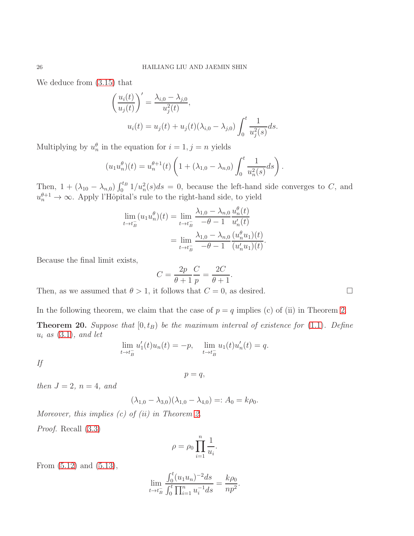We deduce from [\(3.15\)](#page-10-0) that

$$
\left(\frac{u_i(t)}{u_j(t)}\right)' = \frac{\lambda_{i,0} - \lambda_{j,0}}{u_j^2(t)},
$$
  

$$
u_i(t) = u_j(t) + u_j(t)(\lambda_{i,0} - \lambda_{j,0}) \int_0^t \frac{1}{u_j^2(s)} ds.
$$

Multiplying by  $u_n^{\theta}$  in the equation for  $i = 1, j = n$  yields

$$
(u_1 u_n^{\theta})(t) = u_n^{\theta+1}(t) \left( 1 + (\lambda_{1,0} - \lambda_{n,0}) \int_0^t \frac{1}{u_n^2(s)} ds \right).
$$

Then,  $1 + (\lambda_{10} - \lambda_{n,0}) \int_0^{t_B} 1/u_n^2(s) ds = 0$ , because the left-hand side converges to C, and  $u_n^{\theta+1} \to \infty$ . Apply l'Hôpital's rule to the right-hand side, to yield

$$
\lim_{t \to t_B^-} (u_1 u_n^{\theta})(t) = \lim_{t \to t_B^-} \frac{\lambda_{1,0} - \lambda_{n,0} u_n^{\theta}(t)}{-\theta - 1} u_n'(t)
$$

$$
= \lim_{t \to t_B^-} \frac{\lambda_{1,0} - \lambda_{n,0} (u_n^{\theta} u_1)(t)}{-\theta - 1} (u_n' u_1)(t).
$$

Because the final limit exists,

 $C =$  $2p$  $\theta + 1$  $\mathcal{C}_{0}^{(n)}$ p = 2C  $\theta + 1$ .

Then, as we assumed that  $\theta > 1$ , it follows that  $C = 0$ , as desired.

In the following theorem, we claim that the case of  $p = q$  implies (c) of (ii) in Theorem [2.](#page-2-0)

<span id="page-25-0"></span>**Theorem 20.** Suppose that  $[0, t_B)$  be the maximum interval of existence for [\(1.1\)](#page-0-1). Define  $u_i$  as  $(3.1)$ , and let

$$
\lim_{t \to t_B^-} u_1'(t)u_n(t) = -p, \quad \lim_{t \to t_B^-} u_1(t)u_n'(t) = q.
$$

If

$$
p=q,
$$

then  $J=2$ ,  $n=4$ , and

$$
(\lambda_{1,0} - \lambda_{3,0})(\lambda_{1,0} - \lambda_{4,0}) =: A_0 = k\rho_0.
$$

Moreover, this implies  $(c)$  of  $(ii)$  in Theorem [2.](#page-2-0)

Proof. Recall [\(3.3\)](#page-8-7)

$$
\rho = \rho_0 \prod_{i=1}^n \frac{1}{u_i}.
$$

From [\(5.12\)](#page-24-0) and [\(5.13\)](#page-24-1),

$$
\lim_{t \to t_B^-} \frac{\int_0^t (u_1 u_n)^{-2} ds}{\int_0^t \prod_{i=1}^n u_i^{-1} ds} = \frac{k \rho_0}{n p^2}.
$$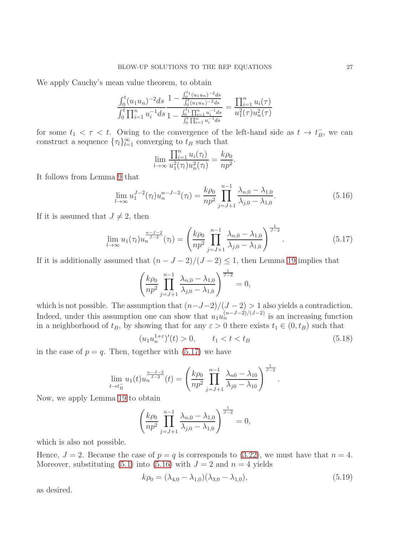We apply Cauchy's mean value theorem, to obtain

$$
\frac{\int_0^t (u_1 u_n)^{-2} ds}{\int_0^t \prod_{i=1}^n u_i^{-1} ds} \frac{1 - \frac{\int_0^{t_1} (u_1 u_n)^{-2} ds}{\int_0^t (u_1 u_n)^{-2} ds}}{1 - \frac{\int_0^{t_1} \prod_{i=1}^n u_i^{-1} ds}{\int_0^{t_1} \prod_{i=1}^n u_i^{-1} ds}} = \frac{\prod_{i=1}^n u_i(\tau)}{u_1^2(\tau) u_n^2(\tau)}
$$

for some  $t_1 < \tau < t$ . Owing to the convergence of the left-hand side as  $t \to t_B^ \bar{B}$ , we can construct a sequence  $\{\tau_l\}_{l=1}^{\infty}$  converging to  $t_B$  such that

$$
\lim_{l \to \infty} \frac{\prod_{i=1}^n u_i(\tau_l)}{u_1^2(\tau_l)u_n^2(\tau_l)} = \frac{k\rho_0}{np^2}.
$$

It follows from Lemma [9](#page-9-3) that

<span id="page-26-1"></span>
$$
\lim_{l \to \infty} u_1^{J-2}(\tau_l) u_n^{n-J-2}(\tau_l) = \frac{k \rho_0}{n p^2} \prod_{j=J+1}^{n-1} \frac{\lambda_{n,0} - \lambda_{1,0}}{\lambda_{j,0} - \lambda_{1,0}}.
$$
\n(5.16)

If it is assumed that  $J \neq 2$ , then

<span id="page-26-0"></span>
$$
\lim_{l \to \infty} u_1(\tau_l) u_n^{\frac{n-J-2}{J-2}}(\tau_l) = \left( \frac{k \rho_0}{np^2} \prod_{j=J+1}^{n-1} \frac{\lambda_{n,0} - \lambda_{1,0}}{\lambda_{j,0} - \lambda_{1,0}} \right)^{\frac{1}{J-2}}.
$$
\n(5.17)

If it is additionally assumed that  $(n - J - 2)/(J - 2) \leq 1$ , then Lemma [19](#page-24-2) implies that

$$
\left(\frac{k\rho_0}{np^2}\prod_{j=J+1}^{n-1}\frac{\lambda_{n,0}-\lambda_{1,0}}{\lambda_{j,0}-\lambda_{1,0}}\right)^{\frac{1}{J-2}}=0,
$$

which is not possible. The assumption that  $(n-J-2)/(J-2) > 1$  also yields a contradiction. Indeed, under this assumption one can show that  $u_1u_n^{(n-J-2)/(J-2)}$  is an increasing function in a neighborhood of  $t_B$ , by showing that for any  $\varepsilon > 0$  there exists  $t_1 \in (0, t_B)$  such that

<span id="page-26-2"></span>
$$
(u_1 u_n^{1+\varepsilon})'(t) > 0, \qquad t_1 < t < t_B \tag{5.18}
$$

<span id="page-26-3"></span>.

in the case of  $p = q$ . Then, together with  $(5.17)$  we have

$$
\lim_{t \to t_B^-} u_1(t) u_n^{\frac{n-J-2}{J-2}}(t) = \left( \frac{k \rho_0}{np^2} \prod_{j=J+1}^{n-1} \frac{\lambda_{n0} - \lambda_{10}}{\lambda_{j0} - \lambda_{10}} \right)^{\frac{1}{J-2}}
$$

Now, we apply Lemma [19](#page-24-2) to obtain

$$
\left(\frac{k\rho_0}{np^2}\prod_{j=J+1}^{n-1}\frac{\lambda_{n,0}-\lambda_{1,0}}{\lambda_{j,0}-\lambda_{1,0}}\right)^{\frac{1}{J-2}}=0,
$$

which is also not possible.

Hence,  $J = 2$ . Because the case of  $p = q$  is corresponds to [\(3.22\)](#page-11-6), we must have that  $n = 4$ . Moreover, substituting [\(5.1\)](#page-22-0) into [\(5.16\)](#page-26-1) with  $J = 2$  and  $n = 4$  yields

$$
k\rho_0 = (\lambda_{4,0} - \lambda_{1,0})(\lambda_{3,0} - \lambda_{1,0}),
$$
\n(5.19)

as desired.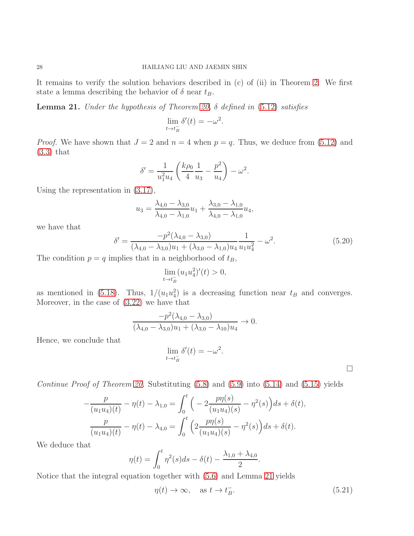It remains to verify the solution behaviors described in (c) of (ii) in Theorem [2.](#page-2-0) We first state a lemma describing the behavior of  $\delta$  near  $t_B$ .

<span id="page-27-0"></span>**Lemma 21.** Under the hypothesis of Theorem [20,](#page-25-0)  $\delta$  defined in [\(5.12\)](#page-24-0) satisfies

$$
\lim_{t \to t_B^-} \delta'(t) = -\omega^2.
$$

*Proof.* We have shown that  $J = 2$  and  $n = 4$  when  $p = q$ . Thus, we deduce from [\(5.12\)](#page-24-0) and [\(3.3\)](#page-8-7) that

$$
\delta' = \frac{1}{u_1^2 u_4} \left( \frac{k \rho_0}{4} \frac{1}{u_3} - \frac{p^2}{u_4} \right) - \omega^2.
$$

Using the representation in [\(3.17\)](#page-10-3),

$$
u_3 = \frac{\lambda_{4,0} - \lambda_{3,0}}{\lambda_{4,0} - \lambda_{1,0}} u_1 + \frac{\lambda_{3,0} - \lambda_{1,0}}{\lambda_{4,0} - \lambda_{1,0}} u_4,
$$

we have that

<span id="page-27-2"></span>
$$
\delta' = \frac{-p^2(\lambda_{4,0} - \lambda_{3,0})}{(\lambda_{4,0} - \lambda_{3,0})u_1 + (\lambda_{3,0} - \lambda_{1,0})u_4} \frac{1}{u_1 u_4^2} - \omega^2.
$$
\n(5.20)

The condition  $p = q$  implies that in a neighborhood of  $t_B$ ,

$$
\lim_{t \to t_B^-} (u_1 u_4^2)'(t) > 0,
$$

as mentioned in [\(5.18\)](#page-26-2). Thus,  $1/(u_1 u_4^2)$  is a decreasing function near  $t_B$  and converges. Moreover, in the case of [\(3.22\)](#page-11-6) we have that

$$
\frac{-p^2(\lambda_{4,0} - \lambda_{3,0})}{(\lambda_{4,0} - \lambda_{3,0})u_1 + (\lambda_{3,0} - \lambda_{10})u_4} \to 0.
$$

Hence, we conclude that

$$
\lim_{t \to t_B^-} \delta'(t) = -\omega^2.
$$

 $\Box$ 

Continue Proof of Theorem [20.](#page-25-0) Substituting  $(5.8)$  and  $(5.9)$  into  $(5.14)$  and  $(5.15)$  yields

$$
-\frac{p}{(u_1u_4)(t)} - \eta(t) - \lambda_{1,0} = \int_0^t \left( -2\frac{p\eta(s)}{(u_1u_4)(s)} - \eta^2(s) \right) ds + \delta(t),
$$
  

$$
\frac{p}{(u_1u_4)(t)} - \eta(t) - \lambda_{4,0} = \int_0^t \left( 2\frac{p\eta(s)}{(u_1u_4)(s)} - \eta^2(s) \right) ds + \delta(t).
$$

We deduce that

$$
\eta(t) = \int_0^t \eta^2(s)ds - \delta(t) - \frac{\lambda_{1,0} + \lambda_{4,0}}{2}.
$$

Notice that the integral equation together with [\(5.6\)](#page-23-6) and Lemma [21](#page-27-0) yields

<span id="page-27-1"></span>
$$
\eta(t) \to \infty, \quad \text{as } t \to t_B^-. \tag{5.21}
$$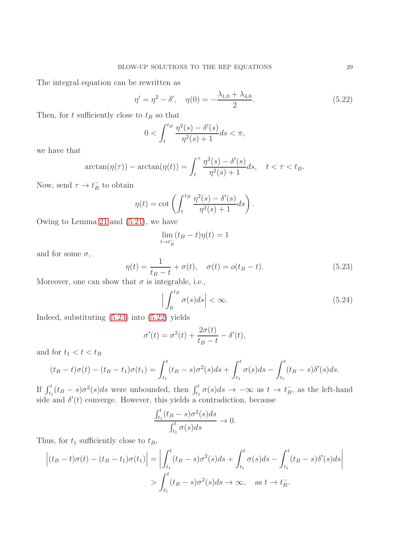The integral equation can be rewritten as

<span id="page-28-1"></span>
$$
\eta' = \eta^2 - \delta', \quad \eta(0) = -\frac{\lambda_{1,0} + \lambda_{4,0}}{2}.
$$
\n(5.22)

Then, for t sufficiently close to  $t_B$  so that

$$
0 < \int_{t}^{t_{B}} \frac{\eta^{2}(s) - \delta'(s)}{\eta^{2}(s) + 1} ds < \pi,
$$

we have that

$$
\arctan(\eta(\tau)) - \arctan(\eta(t)) = \int_t^\tau \frac{\eta^2(s) - \delta'(s)}{\eta^2(s) + 1} ds, \quad t < \tau < t_B.
$$

Now, send  $\tau \to t_B^ B^-$  to obtain

$$
\eta(t) = \cot\left(\int_t^{t_B} \frac{\eta^2(s) - \delta'(s)}{\eta^2(s) + 1} ds\right).
$$

Owing to Lemma [21](#page-27-0) and [\(5.21\)](#page-27-1), we have

$$
\lim_{t \to t_B^-} (t_B - t)\eta(t) = 1
$$

and for some  $\sigma$ ,

<span id="page-28-0"></span>
$$
\eta(t) = \frac{1}{t_B - t} + \sigma(t), \quad \sigma(t) = o(t_B - t).
$$
\n(5.23)

Moreover, one can show that  $\sigma$  is integrable, i.e.,

<span id="page-28-2"></span>
$$
\left| \int_0^{t_B} \sigma(s) ds \right| < \infty. \tag{5.24}
$$

Indeed, substituting [\(5.23\)](#page-28-0) into [\(5.22\)](#page-28-1) yields

$$
\sigma'(t) = \sigma^2(t) + \frac{2\sigma(t)}{t_B - t} - \delta'(t),
$$

and for  $t_1 < t < t_B$ 

$$
(t_B - t)\sigma(t) - (t_B - t_1)\sigma(t_1) = \int_{t_1}^t (t_B - s)\sigma^2(s)ds + \int_{t_1}^t \sigma(s)ds - \int_{t_1}^t (t_B - s)\delta'(s)ds.
$$

If  $\int_{t_1}^t (t_B - s) \sigma^2(s) ds$  were unbounded, then  $\int_{t_1}^t \sigma(s) ds \to -\infty$  as  $t \to t_B^ \bar{B}$ , as the left-hand side and  $\delta'(t)$  converge. However, this yields a contradiction, because

$$
\frac{\int_{t_1}^t (t_B - s)\sigma^2(s)ds}{\int_{t_1}^t \sigma(s)ds} \to 0.
$$

Thus, for  $t_1$  sufficiently close to  $t_B$ ,

$$
\left| (t_B - t)\sigma(t) - (t_B - t_1)\sigma(t_1) \right| = \left| \int_{t_1}^t (t_B - s)\sigma^2(s)ds + \int_{t_1}^t \sigma(s)ds - \int_{t_1}^t (t_B - s)\delta'(s)ds \right|
$$
  
> 
$$
\int_{t_1}^t (t_B - s)\sigma^2(s)ds \to \infty, \quad \text{as } t \to t_B^-.
$$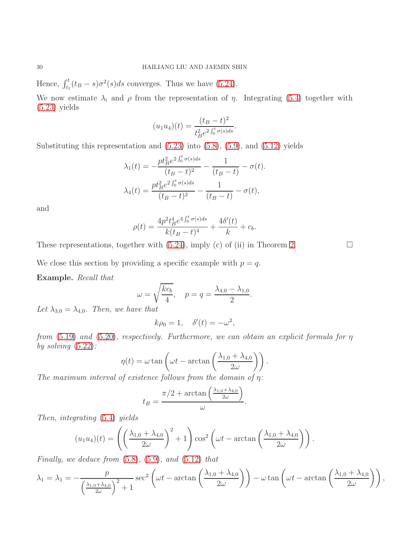Hence,  $\int_{t_1}^t (t_B - s) \sigma^2(s) ds$  converges. Thus we have [\(5.24\)](#page-28-2).

We now estimate  $\lambda_i$  and  $\rho$  from the representation of  $\eta$ . Integrating [\(5.4\)](#page-23-0) together with  $(5.23)$  yields

$$
(u_1 u_4)(t) = \frac{(t_B - t)^2}{t_B^2 e^{2 \int_0^t \sigma(s) ds}}.
$$

Substituting this representation and  $(5.23)$  into  $(5.8)$ ,  $(5.9)$ , and  $(5.12)$  yields

$$
\lambda_1(t) = -\frac{pt_B^2 e^{2\int_0^t \sigma(s)ds}}{(t_B - t)^2} - \frac{1}{(t_B - t)} - \sigma(t).
$$

$$
\lambda_4(t) = \frac{pt_B^2 e^{2\int_0^t \sigma(s)ds}}{(t_B - t)^2} - \frac{1}{(t_B - t)} - \sigma(t),
$$

and

$$
\rho(t) = \frac{4p^2t_B^4e^{4\int_0^t \sigma(s)ds}}{k(t_B - t)^4} + \frac{4\delta'(t)}{k} + c_b.
$$

These representations, together with  $(5.24)$ , imply (c) of (ii) in Theorem [2.](#page-2-0)

We close this section by providing a specific example with  $p = q$ .

Example. Recall that

$$
\omega = \sqrt{\frac{kc_b}{4}}, \quad p = q = \frac{\lambda_{4,0} - \lambda_{1,0}}{2}.
$$

Let  $\lambda_{3,0} = \lambda_{4,0}$ . Then, we have that

$$
k\rho_0 = 1, \quad \delta'(t) = -\omega^2,
$$

from  $(5.19)$  and  $(5.20)$ , respectively. Furthermore, we can obtain an explicit formula for  $\eta$ by solving  $(5.22)$ :

$$
\eta(t) = \omega \tan \left( \omega t - \arctan \left( \frac{\lambda_{1,0} + \lambda_{4,0}}{2\omega} \right) \right).
$$

The maximum interval of existence follows from the domain of  $\eta$ :

$$
t_B = \frac{\pi/2 + \arctan\left(\frac{\lambda_{1,0} + \lambda_{4,0}}{2\omega}\right)}{\omega}.
$$

Then, integrating [\(5.4\)](#page-23-0) yields

$$
(u_1 u_4)(t) = \left( \left( \frac{\lambda_{1,0} + \lambda_{4,0}}{2\omega} \right)^2 + 1 \right) \cos^2 \left( \omega t - \arctan \left( \frac{\lambda_{1,0} + \lambda_{4,0}}{2\omega} \right) \right).
$$

Finally, we deduce from  $(5.8)$ ,  $(5.9)$ , and  $(5.12)$  that

$$
\lambda_1 = \lambda_1 = -\frac{p}{\left(\frac{\lambda_{1,0} + \lambda_{4,0}}{2\omega}\right)^2 + 1} \sec^2\left(\omega t - \arctan\left(\frac{\lambda_{1,0} + \lambda_{4,0}}{2\omega}\right)\right) - \omega \tan\left(\omega t - \arctan\left(\frac{\lambda_{1,0} + \lambda_{4,0}}{2\omega}\right)\right),
$$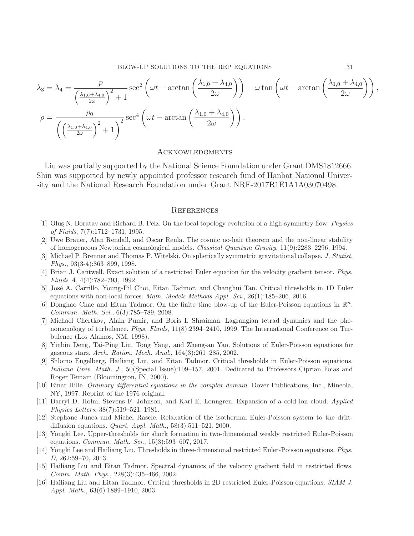BLOW-UP SOLUTIONS TO THE REP EQUATIONS 31

$$
\lambda_3 = \lambda_4 = \frac{p}{\left(\frac{\lambda_{1,0} + \lambda_{4,0}}{2\omega}\right)^2 + 1} \sec^2\left(\omega t - \arctan\left(\frac{\lambda_{1,0} + \lambda_{4,0}}{2\omega}\right)\right) - \omega \tan\left(\omega t - \arctan\left(\frac{\lambda_{1,0} + \lambda_{4,0}}{2\omega}\right)\right),
$$

$$
\rho = \frac{\rho_0}{\left(\left(\frac{\lambda_{1,0} + \lambda_{4,0}}{2\omega}\right)^2 + 1\right)^2} \sec^4\left(\omega t - \arctan\left(\frac{\lambda_{1,0} + \lambda_{4,0}}{2\omega}\right)\right).
$$

## **ACKNOWLEDGMENTS**

Liu was partially supported by the National Science Foundation under Grant DMS1812666. Shin was supported by newly appointed professor research fund of Hanbat National University and the National Research Foundation under Grant NRF-2017R1E1A1A03070498.

#### **REFERENCES**

- <span id="page-30-10"></span>[1] Oluş N. Boratav and Richard B. Pelz. On the local topology evolution of a high-symmetry flow. Physics of Fluids, 7(7):1712–1731, 1995.
- <span id="page-30-3"></span>[2] Uwe Brauer, Alan Rendall, and Oscar Reula. The cosmic no-hair theorem and the non-linear stability of homogeneous Newtonian cosmological models. Classical Quantum Gravity, 11(9):2283–2296, 1994.
- <span id="page-30-4"></span>[3] Michael P. Brenner and Thomas P. Witelski. On spherically symmetric gravitational collapse. J. Statist. Phys., 93(3-4):863–899, 1998.
- <span id="page-30-11"></span>[4] Brian J. Cantwell. Exact solution of a restricted Euler equation for the velocity gradient tensor. Phys. Fluids A, 4(4):782–793, 1992.
- <span id="page-30-9"></span>[5] Jos´e A. Carrillo, Young-Pil Choi, Eitan Tadmor, and Changhui Tan. Critical thresholds in 1D Euler equations with non-local forces. Math. Models Methods Appl. Sci., 26(1):185–206, 2016.
- <span id="page-30-8"></span>[6] Donghao Chae and Eitan Tadmor. On the finite time blow-up of the Euler-Poisson equations in  $\mathbb{R}^n$ . Commun. Math. Sci., 6(3):785–789, 2008.
- <span id="page-30-12"></span>[7] Michael Chertkov, Alain Pumir, and Boris I. Shraiman. Lagrangian tetrad dynamics and the phenomenology of turbulence. Phys. Fluids,  $11(8):2394-2410$ , 1999. The International Conference on Turbulence (Los Alamos, NM, 1998).
- <span id="page-30-5"></span>[8] Yinbin Deng, Tai-Ping Liu, Tong Yang, and Zheng-an Yao. Solutions of Euler-Poisson equations for gaseous stars. Arch. Ration. Mech. Anal., 164(3):261–285, 2002.
- <span id="page-30-7"></span>[9] Shlomo Engelberg, Hailiang Liu, and Eitan Tadmor. Critical thresholds in Euler-Poisson equations. Indiana Univ. Math. J., 50(Special Issue):109–157, 2001. Dedicated to Professors Ciprian Foias and Roger Temam (Bloomington, IN, 2000).
- <span id="page-30-15"></span>[10] Einar Hille. Ordinary differential equations in the complex domain. Dover Publications, Inc., Mineola, NY, 1997. Reprint of the 1976 original.
- <span id="page-30-2"></span>[11] Darryl D. Holm, Stevens F. Johnson, and Karl E. Lonngren. Expansion of a cold ion cloud. Applied Physics Letters, 38(7):519–521, 1981.
- <span id="page-30-6"></span>[12] Stephane Junca and Michel Rascle. Relaxation of the isothermal Euler-Poisson system to the driftdiffusion equations. Quart. Appl. Math., 58(3):511–521, 2000.
- <span id="page-30-14"></span>[13] Yongki Lee. Upper-thresholds for shock formation in two-dimensional weakly restricted Euler-Poisson equations. Commun. Math. Sci., 15(3):593–607, 2017.
- <span id="page-30-1"></span>[14] Yongki Lee and Hailiang Liu. Thresholds in three-dimensional restricted Euler-Poisson equations. Phys. D, 262:59–70, 2013.
- <span id="page-30-0"></span>[15] Hailiang Liu and Eitan Tadmor. Spectral dynamics of the velocity gradient field in restricted flows. Comm. Math. Phys., 228(3):435–466, 2002.
- <span id="page-30-13"></span>[16] Hailiang Liu and Eitan Tadmor. Critical thresholds in 2D restricted Euler-Poisson equations. SIAM J. Appl. Math., 63(6):1889–1910, 2003.